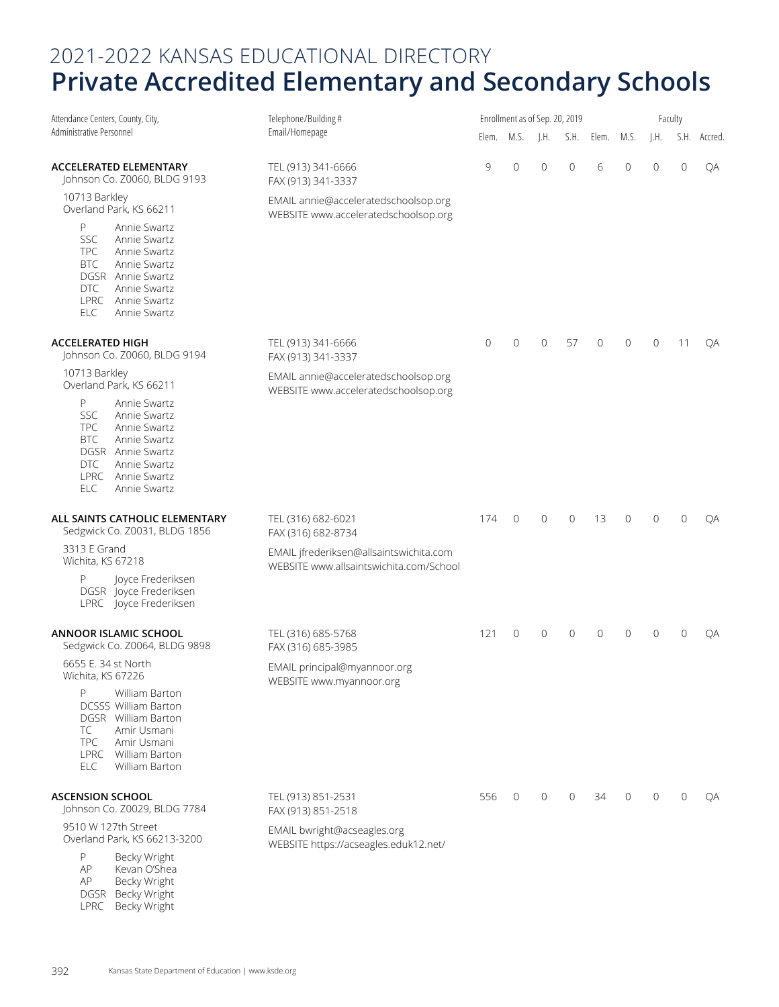| Attendance Centers, County, City,                                                                                                                                                                   | Telephone/Building#                                                                |             | Enrollment as of Sep. 20, 2019 |              |                |                 |   |              | Faculty      |              |
|-----------------------------------------------------------------------------------------------------------------------------------------------------------------------------------------------------|------------------------------------------------------------------------------------|-------------|--------------------------------|--------------|----------------|-----------------|---|--------------|--------------|--------------|
| Administrative Personnel                                                                                                                                                                            | Email/Homepage                                                                     |             | Elem. M.S.                     | J.H.         |                | S.H. Elem. M.S. |   | J.H.         |              | S.H. Accred. |
| ACCELERATED ELEMENTARY<br>Johnson Co. Z0060, BLDG 9193                                                                                                                                              | TEL (913) 341-6666<br>FAX (913) 341-3337                                           | 9           | $\mathbf 0$                    | $\mathbf{0}$ | $\overline{0}$ | 6               | 0 | $\mathbf{0}$ | $\circ$      | QA           |
| 10713 Barkley<br>Overland Park, KS 66211                                                                                                                                                            | EMAIL annie@acceleratedschoolsop.org<br>WEBSITE www.acceleratedschoolsop.org       |             |                                |              |                |                 |   |              |              |              |
| P<br>Annie Swartz<br><b>SSC</b><br>Annie Swartz<br><b>TPC</b><br>Annie Swartz<br><b>BTC</b><br>Annie Swartz<br>DGSR Annie Swartz<br>DTC<br>Annie Swartz<br>LPRC Annie Swartz<br>Annie Swartz<br>ELC |                                                                                    |             |                                |              |                |                 |   |              |              |              |
| <b>ACCELERATED HIGH</b><br>Johnson Co. Z0060, BLDG 9194                                                                                                                                             | TEL (913) 341-6666<br>FAX (913) 341-3337                                           | $\mathbf 0$ | $\mathbf 0$                    | $\mathbf{0}$ | 57             | $\overline{0}$  | 0 | 0            | 11           | QA           |
| 10713 Barkley<br>Overland Park, KS 66211                                                                                                                                                            | EMAIL annie@acceleratedschoolsop.org<br>WEBSITE www.acceleratedschoolsop.org       |             |                                |              |                |                 |   |              |              |              |
| P<br>Annie Swartz<br><b>SSC</b><br>Annie Swartz<br>TPC<br>Annie Swartz<br><b>BTC</b><br>Annie Swartz<br>DGSR Annie Swartz<br>Annie Swartz<br>DTC<br>LPRC Annie Swartz<br>Annie Swartz<br><b>ELC</b> |                                                                                    |             |                                |              |                |                 |   |              |              |              |
| ALL SAINTS CATHOLIC ELEMENTARY<br>Sedgwick Co. Z0031, BLDG 1856                                                                                                                                     | TEL (316) 682-6021<br>FAX (316) 682-8734                                           | 174         | $\circ$                        | $\mathbf 0$  | $\mathbf 0$    | 13              | 0 | $\mathbf{0}$ | $\mathbf{0}$ | QA           |
| 3313 E Grand<br>Wichita, KS 67218                                                                                                                                                                   | EMAIL jfrederiksen@allsaintswichita.com<br>WEBSITE www.allsaintswichita.com/School |             |                                |              |                |                 |   |              |              |              |
| P<br>Joyce Frederiksen<br>DGSR Joyce Frederiksen<br>LPRC Joyce Frederiksen                                                                                                                          |                                                                                    |             |                                |              |                |                 |   |              |              |              |
| ANNOOR ISLAMIC SCHOOL<br>Sedgwick Co. Z0064, BLDG 9898                                                                                                                                              | TEL (316) 685-5768<br>FAX (316) 685-3985                                           | 121         | $\mathbf{0}$                   | $\mathbf 0$  | 0              | 0               | 0 | $\Omega$     | $\mathbf{0}$ | QA           |
| 6655 E. 34 st North<br>Wichita, KS 67226                                                                                                                                                            | EMAIL principal@myannoor.org<br>WEBSITE www.myannoor.org                           |             |                                |              |                |                 |   |              |              |              |
| P<br>William Barton<br><b>DCSSS William Barton</b><br>DGSR William Barton<br>TC<br>Amir Usmani<br><b>TPC</b><br>Amir Usmani<br>LPRC William Barton<br>ELC<br>William Barton                         |                                                                                    |             |                                |              |                |                 |   |              |              |              |
| <b>ASCENSION SCHOOL</b><br>Johnson Co. Z0029, BLDG 7784                                                                                                                                             | TEL (913) 851-2531<br>FAX (913) 851-2518                                           | 556         | 0                              | $\mathbf 0$  | $\mathbf{0}$   | 34              | 0 | $\Omega$     | $\mathbf{0}$ | QA           |
| 9510 W 127th Street<br>Overland Park, KS 66213-3200                                                                                                                                                 | EMAIL bwright@acseagles.org<br>WEBSITE https://acseagles.eduk12.net/               |             |                                |              |                |                 |   |              |              |              |
| Becky Wright<br>P<br>AP<br>Kevan O'Shea<br>AP<br>Becky Wright<br>DGSR Becky Wright                                                                                                                  |                                                                                    |             |                                |              |                |                 |   |              |              |              |

LPRC Becky Wright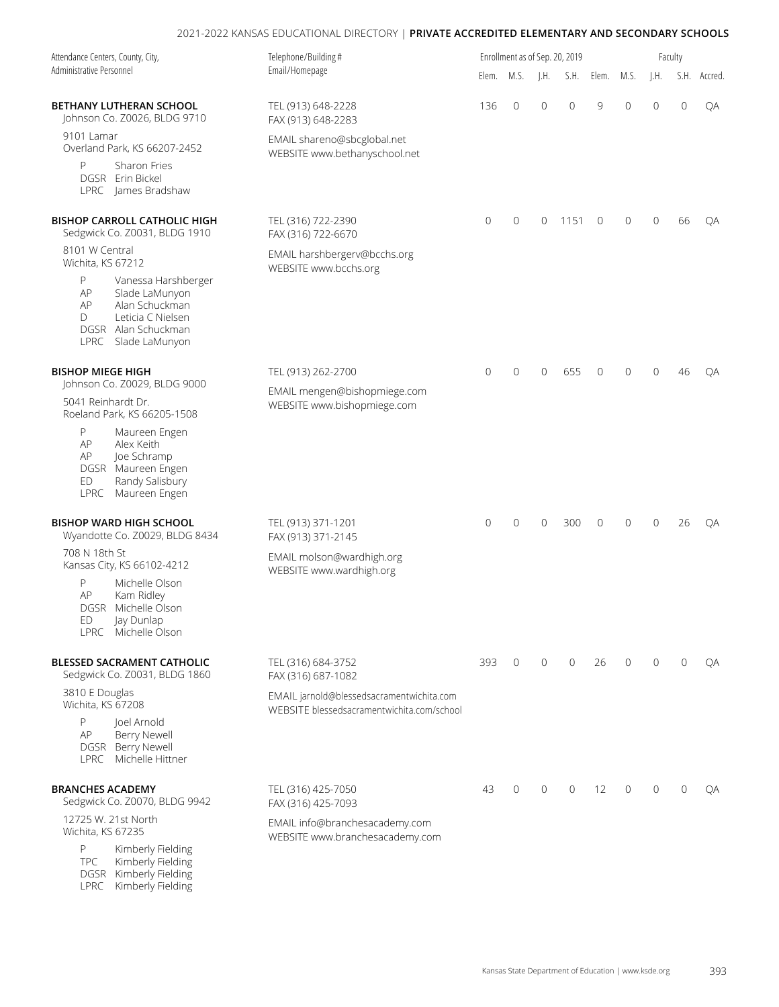| Attendance Centers, County, City,<br>Telephone/Building#<br>Administrative Personnel<br>Email/Homepage                                              |                                                                                         |              |                |                | Enrollment as of Sep. 20, 2019 |                |                |                | Faculty      |              |
|-----------------------------------------------------------------------------------------------------------------------------------------------------|-----------------------------------------------------------------------------------------|--------------|----------------|----------------|--------------------------------|----------------|----------------|----------------|--------------|--------------|
|                                                                                                                                                     |                                                                                         |              | Elem. M.S.     | J.H.           | S.H.                           | Elem.          | M.S.           | $\vert$ .H.    |              | S.H. Accred. |
| <b>BETHANY LUTHERAN SCHOOL</b><br>Johnson Co. Z0026, BLDG 9710                                                                                      | TEL (913) 648-2228<br>FAX (913) 648-2283                                                | 136          | $\overline{0}$ | $\overline{0}$ | $\mathbf 0$                    | 9              | $\overline{0}$ | $\overline{0}$ | $\mathbf{0}$ | QA           |
| 9101 Lamar<br>Overland Park, KS 66207-2452                                                                                                          | EMAIL shareno@sbcglobal.net<br>WEBSITE www.bethanyschool.net                            |              |                |                |                                |                |                |                |              |              |
| P<br>Sharon Fries<br>DGSR Erin Bickel<br>LPRC James Bradshaw                                                                                        |                                                                                         |              |                |                |                                |                |                |                |              |              |
| <b>BISHOP CARROLL CATHOLIC HIGH</b><br>Sedgwick Co. Z0031, BLDG 1910                                                                                | TEL (316) 722-2390<br>FAX (316) 722-6670                                                | $\mathbf{0}$ | $\overline{0}$ | $\mathbf 0$    | 1151                           | $\mathbf{0}$   | $\overline{0}$ | $\mathbf{0}$   | 66           | QA           |
| 8101 W Central<br>Wichita, KS 67212                                                                                                                 | EMAIL harshbergerv@bcchs.org<br>WEBSITE www.bcchs.org                                   |              |                |                |                                |                |                |                |              |              |
| P<br>Vanessa Harshberger<br>AP<br>Slade LaMunyon<br>Alan Schuckman<br>AP<br>Leticia C Nielsen<br>D<br>DGSR Alan Schuckman<br>LPRC<br>Slade LaMunyon |                                                                                         |              |                |                |                                |                |                |                |              |              |
| <b>BISHOP MIEGE HIGH</b><br>Johnson Co. Z0029, BLDG 9000                                                                                            | TEL (913) 262-2700                                                                      | $\mathbf 0$  | 0              | $\mathbf{0}$   | 655                            | $\mathbf{0}$   | $\overline{0}$ | $\Omega$       | 46           | QA           |
| 5041 Reinhardt Dr.<br>Roeland Park, KS 66205-1508                                                                                                   | EMAIL mengen@bishopmiege.com<br>WEBSITE www.bishopmiege.com                             |              |                |                |                                |                |                |                |              |              |
| P<br>Maureen Engen<br>AP<br>Alex Keith<br>Joe Schramp<br>AP<br>DGSR Maureen Engen<br>Randy Salisbury<br>ED<br>LPRC Maureen Engen                    |                                                                                         |              |                |                |                                |                |                |                |              |              |
| <b>BISHOP WARD HIGH SCHOOL</b><br>Wyandotte Co. Z0029, BLDG 8434                                                                                    | TEL (913) 371-1201<br>FAX (913) 371-2145                                                | $\mathbf 0$  | 0              | $\mathbf 0$    | 300                            | $\overline{0}$ | 0              | $\overline{0}$ | 26           | QA           |
| 708 N 18th St<br>Kansas City, KS 66102-4212                                                                                                         | EMAIL molson@wardhigh.org<br>WEBSITE www.wardhigh.org                                   |              |                |                |                                |                |                |                |              |              |
| P<br>Michelle Olson<br>AP<br>Kam Ridley<br>DGSR Michelle Olson<br>ED<br>Jay Dunlap<br>LPRC Michelle Olson                                           |                                                                                         |              |                |                |                                |                |                |                |              |              |
| BLESSED SACRAMENT CATHOLIC<br>Sedgwick Co. Z0031, BLDG 1860                                                                                         | TEL (316) 684-3752<br>FAX (316) 687-1082                                                | 393          | $\mathbf{0}$   | $\mathbf{0}$   | $\mathbf{0}$                   | 26             | $\mathbf{0}$   | $\Omega$       | $\mathbf{0}$ | QA           |
| 3810 E Douglas<br>Wichita, KS 67208                                                                                                                 | EMAIL jarnold@blessedsacramentwichita.com<br>WEBSITE blessedsacramentwichita.com/school |              |                |                |                                |                |                |                |              |              |
| P<br>loel Arnold<br>AP<br>Berry Newell<br>DGSR Berry Newell<br>LPRC Michelle Hittner                                                                |                                                                                         |              |                |                |                                |                |                |                |              |              |
| <b>BRANCHES ACADEMY</b><br>Sedgwick Co. Z0070, BLDG 9942                                                                                            | TEL (316) 425-7050<br>FAX (316) 425-7093                                                | 43           | $\mathbf{0}$   | $\mathbf{0}$   | $\overline{0}$                 | 12             | $\mathbf{0}$   | $\Omega$       | $\mathbf{0}$ | QA           |
| 12725 W. 21st North<br>Wichita, KS 67235                                                                                                            | EMAIL info@branchesacademy.com<br>WEBSITE www.branchesacademy.com                       |              |                |                |                                |                |                |                |              |              |
| P<br>Kimberly Fielding<br><b>TPC</b><br>Kimberly Fielding<br>DGSR Kimberly Fielding                                                                 |                                                                                         |              |                |                |                                |                |                |                |              |              |

LPRC Kimberly Fielding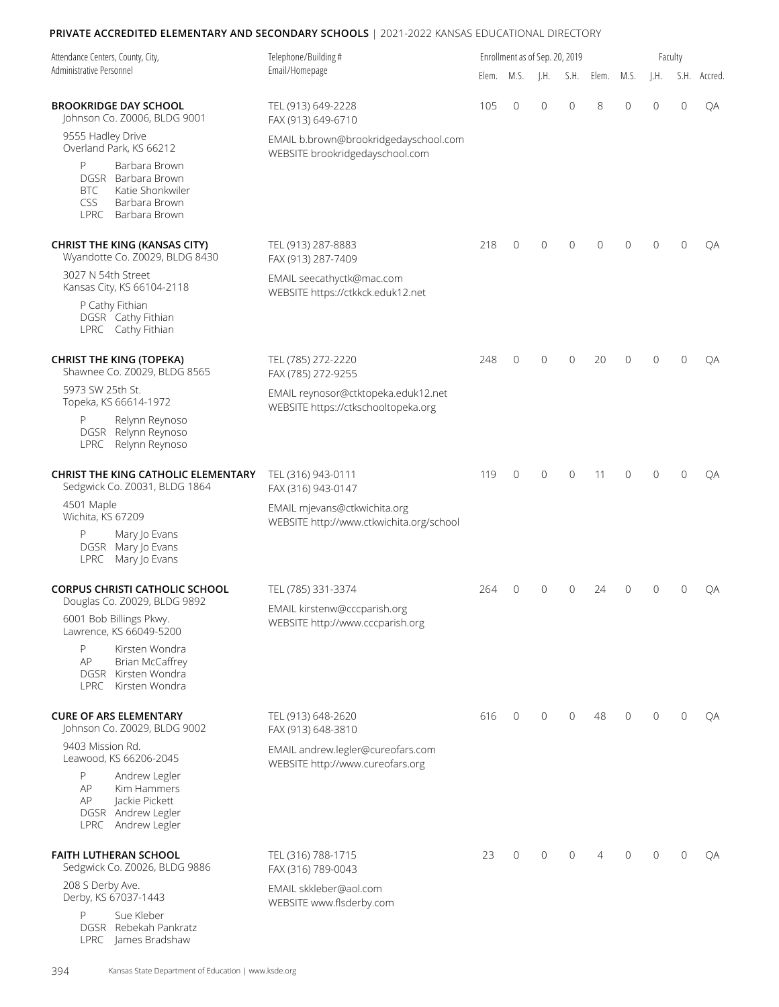| Attendance Centers, County, City,<br>Administrative Personnel                                                            | Telephone/Building#                                                        |       |              | Enrollment as of Sep. 20, 2019 |                |                | Faculty  |                |              |              |  |  |
|--------------------------------------------------------------------------------------------------------------------------|----------------------------------------------------------------------------|-------|--------------|--------------------------------|----------------|----------------|----------|----------------|--------------|--------------|--|--|
|                                                                                                                          | Email/Homepage                                                             | Elem. | M.S.         | $\mathsf{I}.\mathsf{H}$ .      |                | S.H. Elem.     | M.S.     | J.H.           |              | S.H. Accred. |  |  |
| <b>BROOKRIDGE DAY SCHOOL</b><br>Johnson Co. Z0006, BLDG 9001                                                             | TEL (913) 649-2228<br>FAX (913) 649-6710                                   | 105   | $\mathbf 0$  | $\overline{0}$                 | $\overline{0}$ | 8              | 0        | $\overline{0}$ | $\mathbf{0}$ | QA           |  |  |
| 9555 Hadley Drive<br>Overland Park, KS 66212                                                                             | EMAIL b.brown@brookridgedayschool.com<br>WEBSITE brookridgedayschool.com   |       |              |                                |                |                |          |                |              |              |  |  |
| P<br>Barbara Brown<br>DGSR Barbara Brown<br>Katie Shonkwiler<br>BTC<br><b>CSS</b><br>Barbara Brown<br>LPRC Barbara Brown |                                                                            |       |              |                                |                |                |          |                |              |              |  |  |
| <b>CHRIST THE KING (KANSAS CITY)</b><br>Wyandotte Co. Z0029, BLDG 8430                                                   | TEL (913) 287-8883<br>FAX (913) 287-7409                                   | 218   | $\mathbf{0}$ | $\mathbf{0}$                   | $\overline{0}$ | $\overline{0}$ | 0        | $\Omega$       | $\Omega$     | QA           |  |  |
| 3027 N 54th Street<br>Kansas City, KS 66104-2118                                                                         | EMAIL seecathyctk@mac.com<br>WEBSITE https://ctkkck.eduk12.net             |       |              |                                |                |                |          |                |              |              |  |  |
| P Cathy Fithian<br>DGSR Cathy Fithian<br>LPRC Cathy Fithian                                                              |                                                                            |       |              |                                |                |                |          |                |              |              |  |  |
| <b>CHRIST THE KING (TOPEKA)</b><br>Shawnee Co. Z0029, BLDG 8565                                                          | TEL (785) 272-2220<br>FAX (785) 272-9255                                   | 248   | $\mathbf{0}$ | $\Omega$                       | $\mathbf{0}$   | 20             | $\Omega$ | $\Omega$       | $\Omega$     | QA           |  |  |
| 5973 SW 25th St.<br>Topeka, KS 66614-1972                                                                                | EMAIL reynosor@ctktopeka.eduk12.net<br>WEBSITE https://ctkschooltopeka.org |       |              |                                |                |                |          |                |              |              |  |  |
| Relynn Reynoso<br>DGSR Relynn Reynoso<br>Relynn Reynoso<br>LPRC                                                          |                                                                            |       |              |                                |                |                |          |                |              |              |  |  |
| <b>CHRIST THE KING CATHOLIC ELEMENTARY</b><br>Sedgwick Co. Z0031, BLDG 1864                                              | TEL (316) 943-0111<br>FAX (316) 943-0147                                   | 119   | $\mathbf{0}$ | $\mathbf{0}$                   | $\mathbf{0}$   | 11             | 0        | $\Omega$       | $\mathbf{0}$ | OA           |  |  |
| 4501 Maple<br>Wichita, KS 67209                                                                                          | EMAIL mjevans@ctkwichita.org<br>WEBSITE http://www.ctkwichita.org/school   |       |              |                                |                |                |          |                |              |              |  |  |
| P<br>Mary Jo Evans<br>DGSR Mary Jo Evans<br>LPRC<br>Mary Jo Evans                                                        |                                                                            |       |              |                                |                |                |          |                |              |              |  |  |
| <b>CORPUS CHRISTI CATHOLIC SCHOOL</b><br>Douglas Co. Z0029, BLDG 9892                                                    | TEL (785) 331-3374                                                         | 264   | $\mathbf{0}$ | $\Omega$                       | $\Omega$       | 24             | 0        | $\Omega$       | $\Omega$     | QA           |  |  |
| 6001 Bob Billings Pkwy.<br>Lawrence, KS 66049-5200                                                                       | EMAIL kirstenw@cccparish.org<br>WEBSITE http://www.cccparish.org           |       |              |                                |                |                |          |                |              |              |  |  |
| P<br>Kirsten Wondra<br>AP<br><b>Brian McCaffrey</b><br>DGSR Kirsten Wondra<br>LPRC Kirsten Wondra                        |                                                                            |       |              |                                |                |                |          |                |              |              |  |  |
| <b>CURE OF ARS ELEMENTARY</b><br>Johnson Co. Z0029, BLDG 9002                                                            | TEL (913) 648-2620<br>FAX (913) 648-3810                                   | 616   | $\mathbf{0}$ | $\mathbf 0$                    | $\mathbf{0}$   | 48             | 0        | $\Omega$       | $\Omega$     | QA           |  |  |
| 9403 Mission Rd.<br>Leawood, KS 66206-2045                                                                               | EMAIL andrew.legler@cureofars.com<br>WEBSITE http://www.cureofars.org      |       |              |                                |                |                |          |                |              |              |  |  |
| P<br>Andrew Legler<br>AP<br>Kim Hammers<br>Jackie Pickett<br>AP<br>DGSR Andrew Legler<br>LPRC Andrew Legler              |                                                                            |       |              |                                |                |                |          |                |              |              |  |  |
| <b>FAITH LUTHERAN SCHOOL</b><br>Sedgwick Co. Z0026, BLDG 9886                                                            | TEL (316) 788-1715<br>FAX (316) 789-0043                                   | 23    | $\mathbf{0}$ | $\Omega$                       | $\mathbf{0}$   | 4              | 0        | $\Omega$       | $\Omega$     | QA           |  |  |
| 208 S Derby Ave.<br>Derby, KS 67037-1443                                                                                 | EMAIL skkleber@aol.com<br>WEBSITE www.flsderby.com                         |       |              |                                |                |                |          |                |              |              |  |  |
| P<br>Sue Kleber<br>DGSR Rebekah Pankratz<br>LPRC James Bradshaw                                                          |                                                                            |       |              |                                |                |                |          |                |              |              |  |  |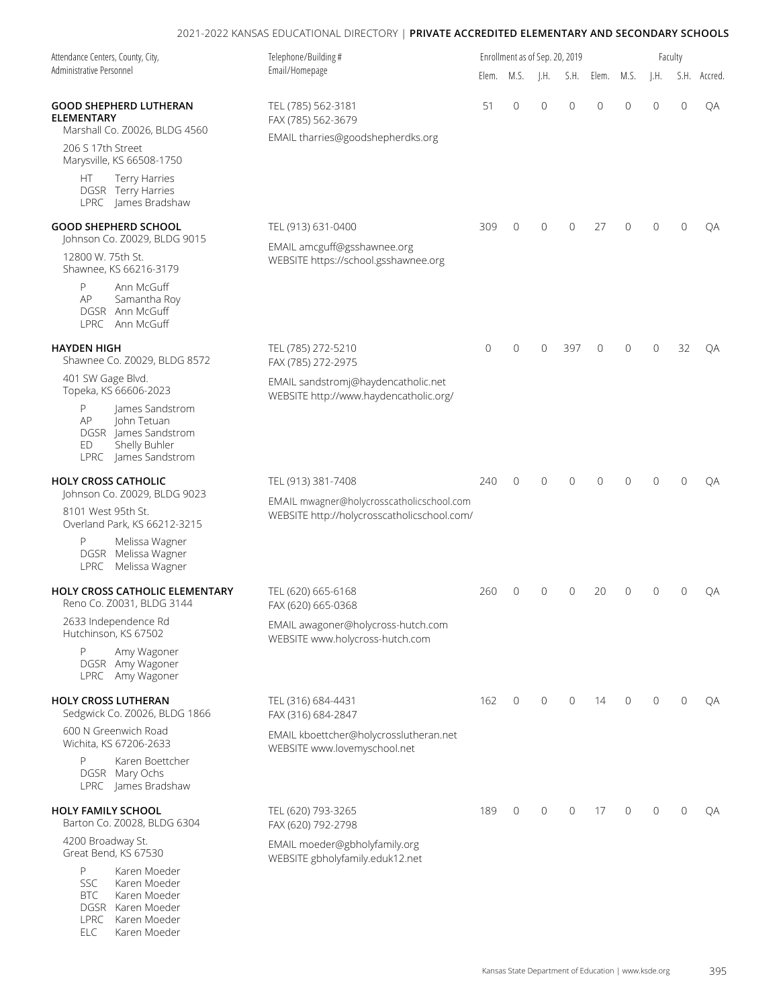| Attendance Centers, County, City,                                                                                       | Telephone/Building #<br>Email/Homepage                                                   |              |                |                           | Enrollment as of Sep. 20, 2019 |                |                | Faculty        |              |              |
|-------------------------------------------------------------------------------------------------------------------------|------------------------------------------------------------------------------------------|--------------|----------------|---------------------------|--------------------------------|----------------|----------------|----------------|--------------|--------------|
| Administrative Personnel                                                                                                |                                                                                          | Elem.        | M.S.           | $\mathsf{I}.\mathsf{H}$ . | S.H.                           | Elem.          | M.S.           | $\vert$ .H.    |              | S.H. Accred. |
| <b>GOOD SHEPHERD LUTHERAN</b><br><b>ELEMENTARY</b><br>Marshall Co. Z0026, BLDG 4560                                     | TEL (785) 562-3181<br>FAX (785) 562-3679                                                 | 51           | $\overline{0}$ | $\overline{0}$            | $\overline{0}$                 | $\overline{0}$ | $\overline{0}$ | $\overline{0}$ | $\mathbf{0}$ | QA           |
| 206 S 17th Street<br>Marysville, KS 66508-1750                                                                          | EMAIL tharries@goodshepherdks.org                                                        |              |                |                           |                                |                |                |                |              |              |
| Terry Harries<br>HT.<br>DGSR Terry Harries<br>LPRC James Bradshaw                                                       |                                                                                          |              |                |                           |                                |                |                |                |              |              |
| <b>GOOD SHEPHERD SCHOOL</b><br>Johnson Co. Z0029, BLDG 9015                                                             | TEL (913) 631-0400                                                                       | 309          | $\overline{0}$ | $\overline{0}$            | $\mathbf{0}$                   | 27             | $\Omega$       | $\Omega$       | $\Omega$     | ОA           |
| 12800 W. 75th St.<br>Shawnee, KS 66216-3179                                                                             | EMAIL amcguff@gsshawnee.org<br>WEBSITE https://school.gsshawnee.org                      |              |                |                           |                                |                |                |                |              |              |
| P<br>Ann McGuff<br>AP<br>Samantha Roy<br>DGSR Ann McGuff<br>LPRC Ann McGuff                                             |                                                                                          |              |                |                           |                                |                |                |                |              |              |
| HAYDEN HIGH<br>Shawnee Co. Z0029, BLDG 8572                                                                             | TEL (785) 272-5210<br>FAX (785) 272-2975                                                 | $\mathbf{0}$ | $\overline{0}$ | $\Omega$                  | 397                            | $\Omega$       | $\Omega$       | $\Omega$       | 32           | QA           |
| 401 SW Gage Blvd.<br>Topeka, KS 66606-2023                                                                              | EMAIL sandstromj@haydencatholic.net<br>WEBSITE http://www.haydencatholic.org/            |              |                |                           |                                |                |                |                |              |              |
| James Sandstrom<br>P<br>John Tetuan<br>AP<br>DGSR James Sandstrom<br>Shelly Buhler<br>ED<br>LPRC James Sandstrom        |                                                                                          |              |                |                           |                                |                |                |                |              |              |
| <b>HOLY CROSS CATHOLIC</b><br>Johnson Co. Z0029, BLDG 9023                                                              | TEL (913) 381-7408                                                                       | 240          | $\mathbf{0}$   | $\mathbf{0}$              | $\mathbf{0}$                   | $\Omega$       | $\Omega$       | $\Omega$       | $\mathbf{0}$ | QA           |
| 8101 West 95th St.<br>Overland Park, KS 66212-3215                                                                      | EMAIL mwagner@holycrosscatholicschool.com<br>WEBSITE http://holycrosscatholicschool.com/ |              |                |                           |                                |                |                |                |              |              |
| Melissa Wagner<br>P<br>DGSR Melissa Wagner<br>LPRC<br>Melissa Wagner                                                    |                                                                                          |              |                |                           |                                |                |                |                |              |              |
| HOLY CROSS CATHOLIC ELEMENTARY<br>Reno Co. Z0031, BLDG 3144                                                             | TEL (620) 665-6168<br>FAX (620) 665-0368                                                 | 260          | 0              | $\Omega$                  | 0                              | 20             | 0              | 0              | $\Omega$     | QA           |
| 2633 Independence Rd<br>Hutchinson, KS 67502                                                                            | EMAIL awagoner@holycross-hutch.com<br>WEBSITE www.holycross-hutch.com                    |              |                |                           |                                |                |                |                |              |              |
| P<br>Amy Wagoner<br>DGSR Amy Wagoner<br>LPRC Amy Wagoner                                                                |                                                                                          |              |                |                           |                                |                |                |                |              |              |
| <b>HOLY CROSS LUTHERAN</b><br>Sedgwick Co. Z0026, BLDG 1866                                                             | TEL (316) 684-4431<br>FAX (316) 684-2847                                                 | 162          | $\mathbf{0}$   | $\mathbf 0$               | $\mathbf{0}$                   | 14             | $\mathbf{0}$   | $\Omega$       | $\mathbf{0}$ | QA           |
| 600 N Greenwich Road<br>Wichita, KS 67206-2633                                                                          | EMAIL kboettcher@holycrosslutheran.net<br>WEBSITE www.lovemyschool.net                   |              |                |                           |                                |                |                |                |              |              |
| Karen Boettcher<br>P<br>DGSR Mary Ochs<br>LPRC James Bradshaw                                                           |                                                                                          |              |                |                           |                                |                |                |                |              |              |
| <b>HOLY FAMILY SCHOOL</b><br>Barton Co. Z0028, BLDG 6304                                                                | TEL (620) 793-3265<br>FAX (620) 792-2798                                                 | 189          | $\mathbf 0$    | $\mathbf{0}$              | $\mathbf{0}$                   | 17             | $\overline{0}$ | $\Omega$       | $\Omega$     | QA           |
| 4200 Broadway St.<br>Great Bend, KS 67530                                                                               | EMAIL moeder@gbholyfamily.org<br>WEBSITE gbholyfamily.eduk12.net                         |              |                |                           |                                |                |                |                |              |              |
| P<br>Karen Moeder<br><b>SSC</b><br>Karen Moeder<br><b>BTC</b><br>Karen Moeder<br>DGSR Karen Moeder<br>LPRC Karen Moeder |                                                                                          |              |                |                           |                                |                |                |                |              |              |

ELC Karen Moeder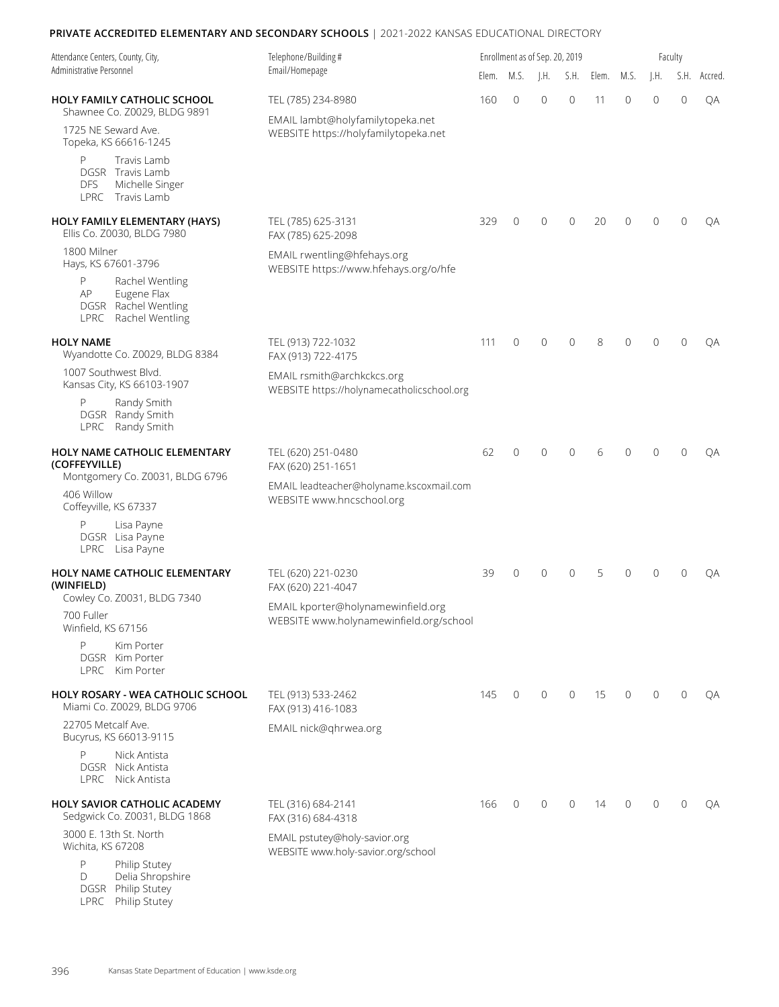| Attendance Centers, County, City,                                                                                | Telephone/Building#                                                           |       | Enrollment as of Sep. 20, 2019 |                 |                |       |          |              | Faculty      |         |
|------------------------------------------------------------------------------------------------------------------|-------------------------------------------------------------------------------|-------|--------------------------------|-----------------|----------------|-------|----------|--------------|--------------|---------|
| Administrative Personnel                                                                                         | Email/Homepage                                                                | Elem. | M.S.                           | $\parallel$ .H. | S.H.           | Elem. | M.S.     | $\vert$ .H.  | S.H.         | Accred. |
| <b>HOLY FAMILY CATHOLIC SCHOOL</b><br>Shawnee Co. Z0029, BLDG 9891                                               | TEL (785) 234-8980                                                            | 160   | $\Omega$                       | $\Omega$        | $\mathbf{0}$   | 11    | 0        | $\Omega$     | $\mathbf{0}$ | QA      |
| 1725 NE Seward Ave.<br>Topeka, KS 66616-1245                                                                     | EMAIL lambt@holyfamilytopeka.net<br>WEBSITE https://holyfamilytopeka.net      |       |                                |                 |                |       |          |              |              |         |
| Travis Lamb<br>P<br>DGSR Travis Lamb<br><b>DFS</b><br>Michelle Singer<br>LPRC Travis Lamb                        |                                                                               |       |                                |                 |                |       |          |              |              |         |
| HOLY FAMILY ELEMENTARY (HAYS)<br>Ellis Co. Z0030, BLDG 7980                                                      | TEL (785) 625-3131<br>FAX (785) 625-2098                                      | 329   | $\overline{0}$                 | $\mathbf 0$     | $\mathbf{0}$   | 20    | 0        | $\Omega$     | $\mathbf{0}$ | QA      |
| 1800 Milner<br>Hays, KS 67601-3796                                                                               | EMAIL rwentling@hfehays.org<br>WEBSITE https://www.hfehays.org/o/hfe          |       |                                |                 |                |       |          |              |              |         |
| P<br>Rachel Wentling<br>Eugene Flax<br>AP<br>DGSR Rachel Wentling<br>LPRC<br>Rachel Wentling                     |                                                                               |       |                                |                 |                |       |          |              |              |         |
| <b>HOLY NAME</b><br>Wyandotte Co. Z0029, BLDG 8384                                                               | TEL (913) 722-1032<br>FAX (913) 722-4175                                      | 111   | $\mathbf{0}$                   | $\overline{0}$  | $\mathbf{0}$   | 8     | 0        | $\Omega$     | $\Omega$     | QA      |
| 1007 Southwest Blvd.<br>Kansas City, KS 66103-1907                                                               | EMAIL rsmith@archkckcs.org<br>WEBSITE https://holynamecatholicschool.org      |       |                                |                 |                |       |          |              |              |         |
| P<br>Randy Smith<br>DGSR Randy Smith<br>LPRC Randy Smith                                                         |                                                                               |       |                                |                 |                |       |          |              |              |         |
| HOLY NAME CATHOLIC ELEMENTARY<br>(COFFEYVILLE)                                                                   | TEL (620) 251-0480<br>FAX (620) 251-1651                                      | 62    | $\overline{0}$                 | $\Omega$        | $\Omega$       | 6     | $\Omega$ | <sup>n</sup> | $\Omega$     | OA      |
| Montgomery Co. Z0031, BLDG 6796<br>406 Willow<br>Coffeyville, KS 67337                                           | EMAIL leadteacher@holyname.kscoxmail.com<br>WEBSITE www.hncschool.org         |       |                                |                 |                |       |          |              |              |         |
| P<br>Lisa Payne<br>DGSR Lisa Payne<br>LPRC Lisa Payne                                                            |                                                                               |       |                                |                 |                |       |          |              |              |         |
| HOLY NAME CATHOLIC ELEMENTARY<br>(WINFIELD)                                                                      | TEL (620) 221-0230<br>FAX (620) 221-4047                                      | 39    | 0                              | $\Omega$        | $\mathbf{0}$   | 5     | 0        | <sup>n</sup> | $\Omega$     | QA      |
| Cowley Co. Z0031, BLDG 7340<br>700 Fuller<br>Winfield, KS 67156                                                  | EMAIL kporter@holynamewinfield.org<br>WEBSITE www.holynamewinfield.org/school |       |                                |                 |                |       |          |              |              |         |
| P<br>Kim Porter<br>DGSR Kim Porter<br>LPRC Kim Porter                                                            |                                                                               |       |                                |                 |                |       |          |              |              |         |
| HOLY ROSARY - WEA CATHOLIC SCHOOL<br>Miami Co. Z0029, BLDG 9706                                                  | TEL (913) 533-2462<br>FAX (913) 416-1083                                      | 145   | $\mathbf 0$                    | $\overline{0}$  | $\mathbf 0$    | 15    | 0        | $\mathbf{0}$ | $\mathbf{0}$ | QA      |
| 22705 Metcalf Ave.<br>Bucyrus, KS 66013-9115                                                                     | EMAIL nick@qhrwea.org                                                         |       |                                |                 |                |       |          |              |              |         |
| P<br>Nick Antista<br>DGSR Nick Antista<br>LPRC Nick Antista                                                      |                                                                               |       |                                |                 |                |       |          |              |              |         |
| HOLY SAVIOR CATHOLIC ACADEMY<br>Sedgwick Co. Z0031, BLDG 1868                                                    | TEL (316) 684-2141<br>FAX (316) 684-4318                                      | 166   | 0                              | $\mathbf{0}$    | $\overline{0}$ | 14    | 0        | $\mathbf{0}$ | $\mathbf{0}$ | QA      |
| 3000 E. 13th St. North<br>Wichita, KS 67208<br>P<br>Philip Stutey<br>Delia Shropshire<br>D<br>DGSR Philip Stutey | EMAIL pstutey@holy-savior.org<br>WEBSITE www.holy-savior.org/school           |       |                                |                 |                |       |          |              |              |         |

396 Kansas State Department of Education | www.ksde.org

LPRC Philip Stutey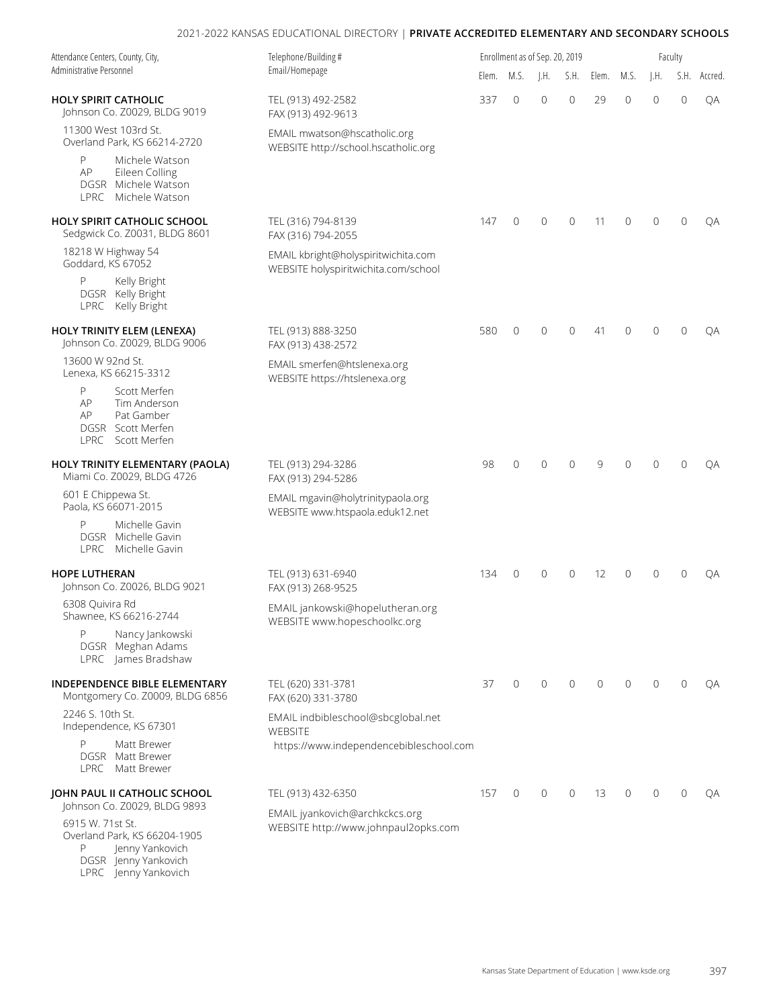| Attendance Centers, County, City,<br>Administrative Personnel                                                            | Telephone/Building#                                                         |       |              | Enrollment as of Sep. 20, 2019 |                |              |                |                | Faculty        |              |
|--------------------------------------------------------------------------------------------------------------------------|-----------------------------------------------------------------------------|-------|--------------|--------------------------------|----------------|--------------|----------------|----------------|----------------|--------------|
|                                                                                                                          | Email/Homepage                                                              | Elem. | M.S.         | $\mathsf{H}$ .                 | S.H.           | Elem.        | M.S.           | $\mathsf{H}$ . |                | S.H. Accred. |
| <b>HOLY SPIRIT CATHOLIC</b><br>Johnson Co. Z0029, BLDG 9019                                                              | TEL (913) 492-2582<br>FAX (913) 492-9613                                    | 337   | $\mathbf 0$  | $\overline{0}$                 | $\mathbf 0$    | 29           | 0              | $\mathbf{0}$   | $\overline{0}$ | QA           |
| 11300 West 103rd St.<br>Overland Park, KS 66214-2720                                                                     | EMAIL mwatson@hscatholic.org<br>WEBSITE http://school.hscatholic.org        |       |              |                                |                |              |                |                |                |              |
| Michele Watson<br>P<br>AP<br>Eileen Colling<br>DGSR Michele Watson<br>LPRC Michele Watson                                |                                                                             |       |              |                                |                |              |                |                |                |              |
| HOLY SPIRIT CATHOLIC SCHOOL<br>Sedgwick Co. Z0031, BLDG 8601                                                             | TEL (316) 794-8139<br>FAX (316) 794-2055                                    | 147   | 0            | $\mathbf 0$                    | $\mathbf 0$    | 11           | 0              | $\overline{0}$ | $\mathbf 0$    | QA           |
| 18218 W Highway 54<br>Goddard, KS 67052                                                                                  | EMAIL kbright@holyspiritwichita.com<br>WEBSITE holyspiritwichita.com/school |       |              |                                |                |              |                |                |                |              |
| P<br>Kelly Bright<br>DGSR Kelly Bright<br>LPRC Kelly Bright                                                              |                                                                             |       |              |                                |                |              |                |                |                |              |
| <b>HOLY TRINITY ELEM (LENEXA)</b><br>Johnson Co. Z0029, BLDG 9006                                                        | TEL (913) 888-3250<br>FAX (913) 438-2572                                    | 580   | $\mathbf{0}$ | $\mathbf{0}$                   | 0              | 41           | 0              | $\Omega$       | $\mathbf 0$    | QA           |
| 13600 W 92nd St.<br>Lenexa, KS 66215-3312                                                                                | EMAIL smerfen@htslenexa.org<br>WEBSITE https://htslenexa.org                |       |              |                                |                |              |                |                |                |              |
| P<br>Scott Merfen<br>AP<br>Tim Anderson<br>Pat Gamber<br>AP<br>DGSR Scott Merfen<br>LPRC Scott Merfen                    |                                                                             |       |              |                                |                |              |                |                |                |              |
| HOLY TRINITY ELEMENTARY (PAOLA)<br>Miami Co. Z0029, BLDG 4726                                                            | TEL (913) 294-3286<br>FAX (913) 294-5286                                    | 98    | 0            | $\overline{0}$                 | $\overline{0}$ | 9            | $\overline{0}$ | $\Omega$       | $\mathbf 0$    | QA           |
| 601 E Chippewa St.<br>Paola, KS 66071-2015                                                                               | EMAIL mgavin@holytrinitypaola.org<br>WEBSITE www.htspaola.eduk12.net        |       |              |                                |                |              |                |                |                |              |
| Michelle Gavin<br>P<br>DGSR Michelle Gavin<br>LPRC Michelle Gavin                                                        |                                                                             |       |              |                                |                |              |                |                |                |              |
| <b>HOPE LUTHERAN</b><br>Johnson Co. Z0026, BLDG 9021                                                                     | TEL (913) 631-6940<br>FAX (913) 268-9525                                    | 134   | $\mathbf{0}$ | $\mathbf{0}$                   | 0              | 12           | $\overline{0}$ | $\Omega$       | $\mathbf{0}$   | QA           |
| 6308 Quivira Rd<br>Shawnee, KS 66216-2744                                                                                | EMAIL jankowski@hopelutheran.org<br>WEBSITE www.hopeschoolkc.org            |       |              |                                |                |              |                |                |                |              |
| P<br>Nancy Jankowski<br>DGSR Meghan Adams<br>LPRC James Bradshaw                                                         |                                                                             |       |              |                                |                |              |                |                |                |              |
| INDEPENDENCE BIBLE ELEMENTARY<br>Montgomery Co. Z0009, BLDG 6856                                                         | TEL (620) 331-3781<br>FAX (620) 331-3780                                    | 37    | $\mathbf{0}$ | $\circ$                        | $\mathbf{0}$   | $\mathbf{0}$ | $\mathbf{0}$   | $\Omega$       | $\mathbf{0}$   | QA           |
| 2246 S. 10th St.<br>Independence, KS 67301                                                                               | EMAIL indbibleschool@sbcglobal.net<br><b>WEBSITE</b>                        |       |              |                                |                |              |                |                |                |              |
| P<br>Matt Brewer<br>DGSR Matt Brewer<br>LPRC Matt Brewer                                                                 | https://www.independencebibleschool.com                                     |       |              |                                |                |              |                |                |                |              |
| JOHN PAUL II CATHOLIC SCHOOL<br>Johnson Co. Z0029, BLDG 9893                                                             | TEL (913) 432-6350                                                          | 157   | 0            | $\mathbf{0}$                   | $\mathbf{0}$   | 13           | 0              | $\Omega$       | $\mathbf{0}$   | QA           |
| 6915 W. 71st St.<br>Overland Park, KS 66204-1905<br>P<br>Jenny Yankovich<br>DGSR Jenny Yankovich<br>LPRC Jenny Yankovich | EMAIL jyankovich@archkckcs.org<br>WEBSITE http://www.johnpaul2opks.com      |       |              |                                |                |              |                |                |                |              |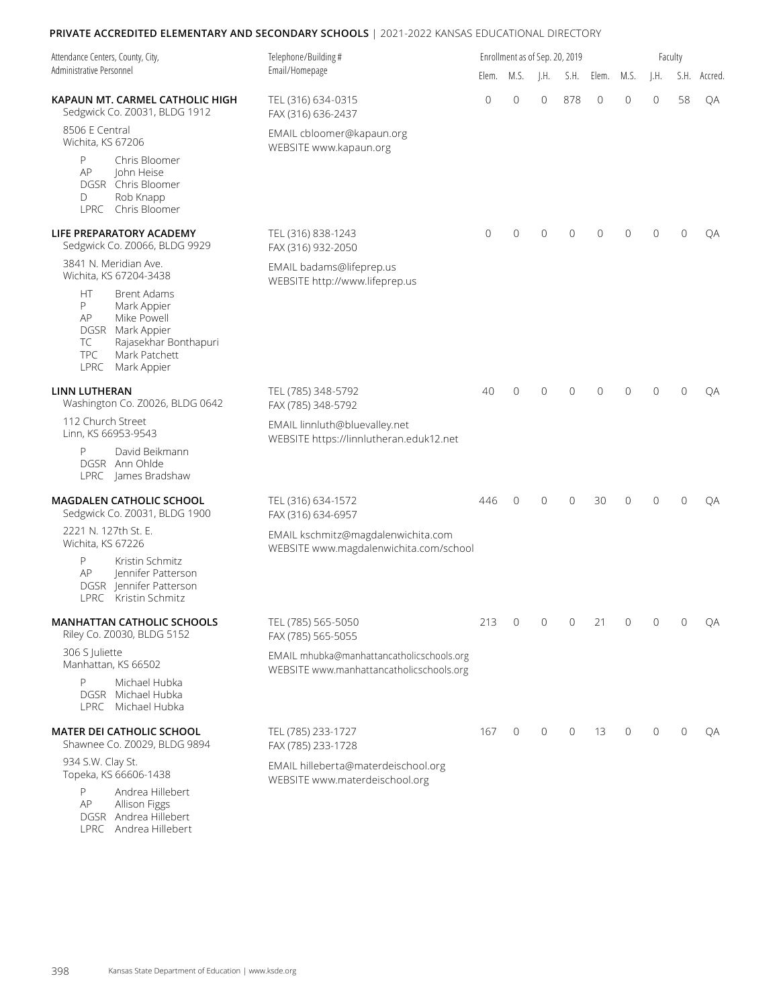| Attendance Centers, County, City,                                                                                                                                                        | Telephone/Building #                                                                  |                | Enrollment as of Sep. 20, 2019 |                           |                |                | Faculty  |                |              |              |  |  |  |
|------------------------------------------------------------------------------------------------------------------------------------------------------------------------------------------|---------------------------------------------------------------------------------------|----------------|--------------------------------|---------------------------|----------------|----------------|----------|----------------|--------------|--------------|--|--|--|
| Administrative Personnel                                                                                                                                                                 | Email/Homepage                                                                        | Elem.          | M.S.                           | $\mathsf{I}.\mathsf{H}$ . |                | S.H. Elem.     | M.S.     | I.H.           |              | S.H. Accred. |  |  |  |
| KAPAUN MT. CARMEL CATHOLIC HIGH<br>Sedgwick Co. Z0031, BLDG 1912                                                                                                                         | TEL (316) 634-0315<br>FAX (316) 636-2437                                              | $\overline{0}$ | $\overline{0}$                 | $\Omega$                  | 878            | $\overline{0}$ | 0        | $\mathbf{0}$   | 58           | QA           |  |  |  |
| 8506 E Central<br>Wichita, KS 67206                                                                                                                                                      | EMAIL cbloomer@kapaun.org<br>WEBSITE www.kapaun.org                                   |                |                                |                           |                |                |          |                |              |              |  |  |  |
| P<br>Chris Bloomer<br>AP<br>John Heise<br>DGSR Chris Bloomer<br>D<br>Rob Knapp<br>Chris Bloomer<br>LPRC                                                                                  |                                                                                       |                |                                |                           |                |                |          |                |              |              |  |  |  |
| LIFE PREPARATORY ACADEMY<br>Sedgwick Co. Z0066, BLDG 9929                                                                                                                                | TEL (316) 838-1243<br>FAX (316) 932-2050                                              | $\mathbf{0}$   | $\mathbf{0}$                   | $\mathbf{0}$              | $\overline{0}$ | $\overline{0}$ | 0        | $\Omega$       | $\mathbf{0}$ | QA           |  |  |  |
| 3841 N. Meridian Ave.<br>Wichita, KS 67204-3438                                                                                                                                          | EMAIL badams@lifeprep.us<br>WEBSITE http://www.lifeprep.us                            |                |                                |                           |                |                |          |                |              |              |  |  |  |
| <b>HT</b><br><b>Brent Adams</b><br>P<br>Mark Appier<br>AP<br>Mike Powell<br>DGSR Mark Appier<br>Rajasekhar Bonthapuri<br>ТC<br><b>TPC</b><br>Mark Patchett<br>Mark Appier<br><b>LPRC</b> |                                                                                       |                |                                |                           |                |                |          |                |              |              |  |  |  |
| <b>LINN LUTHERAN</b><br>Washington Co. Z0026, BLDG 0642                                                                                                                                  | TEL (785) 348-5792<br>FAX (785) 348-5792                                              | 40             | $\overline{0}$                 | $\Omega$                  | $\overline{0}$ | $\Omega$       | $\Omega$ | $\Omega$       | $\Omega$     | QA           |  |  |  |
| 112 Church Street<br>Linn, KS 66953-9543                                                                                                                                                 | EMAIL linnluth@bluevalley.net<br>WEBSITE https://linnlutheran.eduk12.net              |                |                                |                           |                |                |          |                |              |              |  |  |  |
| P<br>David Beikmann<br>DGSR Ann Ohlde<br>LPRC James Bradshaw                                                                                                                             |                                                                                       |                |                                |                           |                |                |          |                |              |              |  |  |  |
| <b>MAGDALEN CATHOLIC SCHOOL</b><br>Sedgwick Co. Z0031, BLDG 1900                                                                                                                         | TEL (316) 634-1572<br>FAX (316) 634-6957                                              | 446            | $\mathbf{0}$                   | $\mathbf{0}$              | 0              | 30             | 0        | $\Omega$       | $\mathbf 0$  | QA           |  |  |  |
| 2221 N. 127th St. E.<br>Wichita, KS 67226                                                                                                                                                | EMAIL kschmitz@magdalenwichita.com<br>WEBSITE www.magdalenwichita.com/school          |                |                                |                           |                |                |          |                |              |              |  |  |  |
| P<br>Kristin Schmitz<br>Jennifer Patterson<br>AP<br>DGSR Jennifer Patterson<br>Kristin Schmitz<br>LPRC                                                                                   |                                                                                       |                |                                |                           |                |                |          |                |              |              |  |  |  |
| <b>MANHATTAN CATHOLIC SCHOOLS</b><br>Riley Co. Z0030, BLDG 5152                                                                                                                          | TEL (785) 565-5050<br>FAX (785) 565-5055                                              | 213            | $\mathbf 0$                    | $\mathbf 0$               | $\mathbf 0$    | 21             | 0        | $\overline{0}$ | 0            | QA           |  |  |  |
| 306 S Juliette<br>Manhattan, KS 66502                                                                                                                                                    | EMAIL mhubka@manhattancatholicschools.org<br>WEBSITE www.manhattancatholicschools.org |                |                                |                           |                |                |          |                |              |              |  |  |  |
| P<br>Michael Hubka<br>DGSR Michael Hubka<br>LPRC Michael Hubka                                                                                                                           |                                                                                       |                |                                |                           |                |                |          |                |              |              |  |  |  |
| MATER DEI CATHOLIC SCHOOL<br>Shawnee Co. Z0029, BLDG 9894                                                                                                                                | TEL (785) 233-1727<br>FAX (785) 233-1728                                              | 167            | $\mathbf 0$                    | $\mathbf 0$               | $\overline{0}$ | 13             | 0        | $\Omega$       | $\mathbf{0}$ | QA           |  |  |  |
| 934 S.W. Clay St.<br>Topeka, KS 66606-1438                                                                                                                                               | EMAIL hilleberta@materdeischool.org<br>WEBSITE www.materdeischool.org                 |                |                                |                           |                |                |          |                |              |              |  |  |  |
| P<br>Andrea Hillebert                                                                                                                                                                    |                                                                                       |                |                                |                           |                |                |          |                |              |              |  |  |  |

AP Allison Figgs DGSR Andrea Hillebert LPRC Andrea Hillebert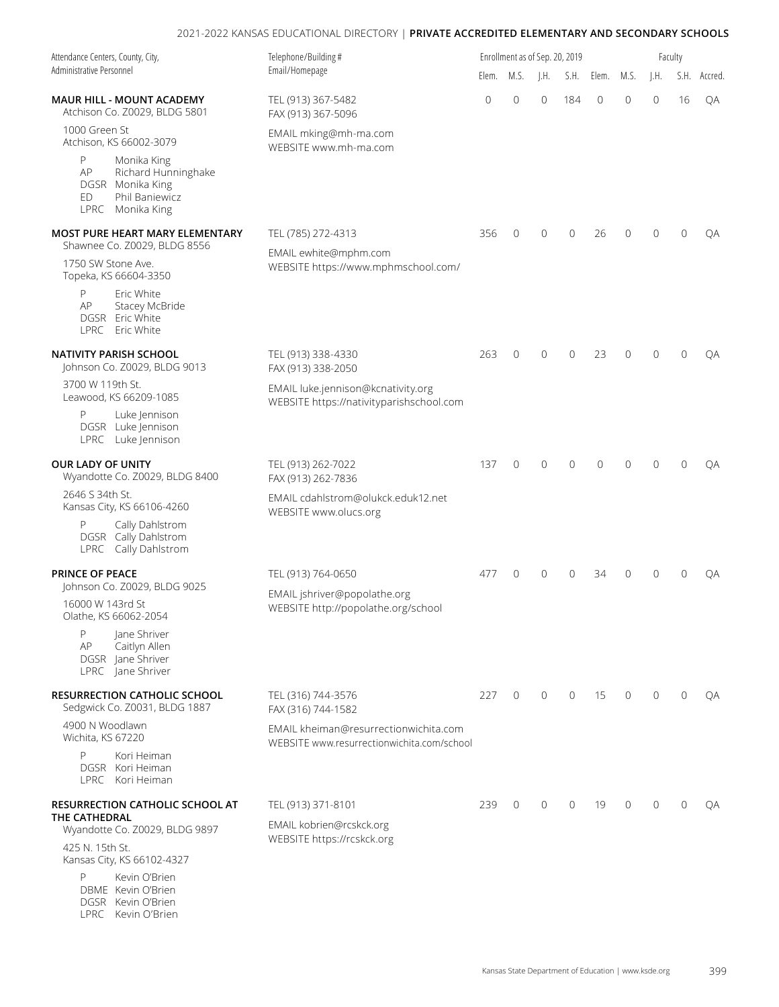| Attendance Centers, County, City,<br>Administrative Personnel                                                 | Telephone/Building#                                                                 |                | Enrollment as of Sep. 20, 2019 |                 |                |                |      |                | Faculty        |              |
|---------------------------------------------------------------------------------------------------------------|-------------------------------------------------------------------------------------|----------------|--------------------------------|-----------------|----------------|----------------|------|----------------|----------------|--------------|
|                                                                                                               | Email/Homepage                                                                      | Elem.          | M.S.                           | $\parallel$ .H. | S.H.           | Elem.          | M.S. | I.H.           |                | S.H. Accred. |
| MAUR HILL - MOUNT ACADEMY<br>Atchison Co. Z0029, BLDG 5801                                                    | TEL (913) 367-5482<br>FAX (913) 367-5096                                            | $\overline{0}$ | $\mathbf 0$                    | $\mathbf{0}$    | 184            | $\overline{0}$ | 0    | $\overline{0}$ | 16             | QA           |
| 1000 Green St<br>Atchison, KS 66002-3079                                                                      | EMAIL mking@mh-ma.com<br>WEBSITE www.mh-ma.com                                      |                |                                |                 |                |                |      |                |                |              |
| P<br>Monika King<br>Richard Hunninghake<br>AP<br>DGSR Monika King<br>Phil Baniewicz<br>ED<br>LPRC Monika King |                                                                                     |                |                                |                 |                |                |      |                |                |              |
| MOST PURE HEART MARY ELEMENTARY<br>Shawnee Co. Z0029, BLDG 8556                                               | TEL (785) 272-4313                                                                  | 356            | $\overline{0}$                 | $\mathbf{0}$    | $\overline{0}$ | 26             | 0    | $\overline{0}$ | $\overline{0}$ | ОA           |
| 1750 SW Stone Ave.<br>Topeka, KS 66604-3350                                                                   | EMAIL ewhite@mphm.com<br>WEBSITE https://www.mphmschool.com/                        |                |                                |                 |                |                |      |                |                |              |
| P<br>Eric White<br>AP<br>Stacey McBride<br>DGSR Eric White<br>LPRC Eric White                                 |                                                                                     |                |                                |                 |                |                |      |                |                |              |
| <b>NATIVITY PARISH SCHOOL</b><br>Johnson Co. Z0029, BLDG 9013                                                 | TEL (913) 338-4330<br>FAX (913) 338-2050                                            | 263            | $\overline{0}$                 | $\mathbf{0}$    | $\circ$        | 23             | 0    | $\Omega$       | $\mathbf{0}$   | QA           |
| 3700 W 119th St.<br>Leawood, KS 66209-1085                                                                    | EMAIL luke.jennison@kcnativity.org<br>WEBSITE https://nativityparishschool.com      |                |                                |                 |                |                |      |                |                |              |
| P<br>Luke Jennison<br>DGSR Luke Jennison<br>LPRC Luke Jennison                                                |                                                                                     |                |                                |                 |                |                |      |                |                |              |
| <b>OUR LADY OF UNITY</b><br>Wyandotte Co. Z0029, BLDG 8400                                                    | TEL (913) 262-7022<br>FAX (913) 262-7836                                            | 137            | $\overline{0}$                 | $\mathbf{0}$    | $\overline{0}$ | $\overline{0}$ | 0    | $\Omega$       | $\mathbf 0$    | ОA           |
| 2646 S 34th St.<br>Kansas City, KS 66106-4260                                                                 | EMAIL cdahlstrom@olukck.eduk12.net<br>WEBSITE www.olucs.org                         |                |                                |                 |                |                |      |                |                |              |
| Cally Dahlstrom<br>P<br>DGSR Cally Dahlstrom<br>Cally Dahlstrom<br>LPRC                                       |                                                                                     |                |                                |                 |                |                |      |                |                |              |
| <b>PRINCE OF PEACE</b>                                                                                        | TEL (913) 764-0650                                                                  | 477            | $\Omega$                       | $\Omega$        | $\Omega$       | 34             | 0    | $\Omega$       | $\mathbf{0}$   | QA           |
| Johnson Co. Z0029, BLDG 9025<br>16000 W 143rd St<br>Olathe, KS 66062-2054                                     | EMAIL jshriver@popolathe.org<br>WEBSITE http://popolathe.org/school                 |                |                                |                 |                |                |      |                |                |              |
| P<br>Jane Shriver<br>AP<br>Caitlyn Allen<br>DGSR Jane Shriver<br>LPRC Jane Shriver                            |                                                                                     |                |                                |                 |                |                |      |                |                |              |
| RESURRECTION CATHOLIC SCHOOL<br>Sedgwick Co. Z0031, BLDG 1887                                                 | TEL (316) 744-3576<br>FAX (316) 744-1582                                            | 227            | $\mathbf 0$                    | $\mathbf 0$     | $\mathbf 0$    | 15             | 0    | $\mathbf{0}$   | $\overline{0}$ | QA           |
| 4900 N Woodlawn<br>Wichita, KS 67220                                                                          | EMAIL kheiman@resurrectionwichita.com<br>WEBSITE www.resurrectionwichita.com/school |                |                                |                 |                |                |      |                |                |              |
| P<br>Kori Heiman<br>DGSR Kori Heiman<br>LPRC Kori Heiman                                                      |                                                                                     |                |                                |                 |                |                |      |                |                |              |
| RESURRECTION CATHOLIC SCHOOL AT<br>THE CATHEDRAL                                                              | TEL (913) 371-8101                                                                  | 239            | $\overline{0}$                 | $\mathbf{0}$    | $\mathbf{0}$   | 19             | 0    | $\Omega$       | $\mathbf{0}$   | QA           |
| Wyandotte Co. Z0029, BLDG 9897<br>425 N. 15th St.                                                             | EMAIL kobrien@rcskck.org<br>WEBSITE https://rcskck.org                              |                |                                |                 |                |                |      |                |                |              |
| Kansas City, KS 66102-4327                                                                                    |                                                                                     |                |                                |                 |                |                |      |                |                |              |
| P<br>Kevin O'Brien<br>DBME Kevin O'Brien<br>DGSR Kevin O'Brien<br>LPRC<br>Kevin O'Brien                       |                                                                                     |                |                                |                 |                |                |      |                |                |              |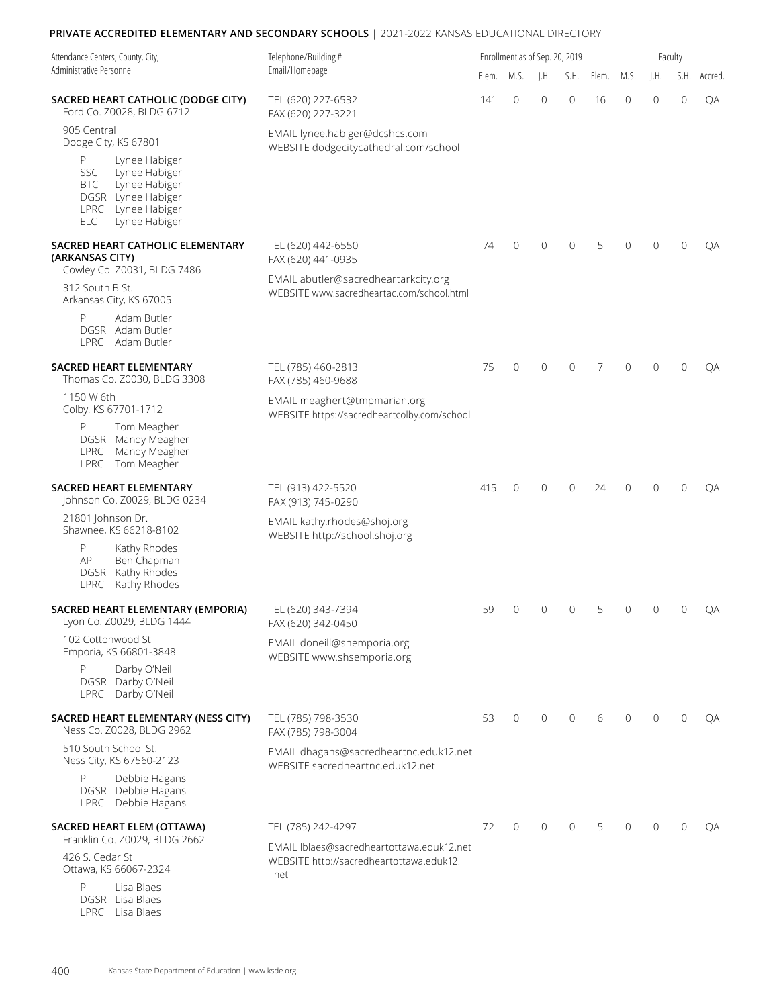| Attendance Centers, County, City,<br>Administrative Personnel                                                                         | Telephone/Building#                                                                          |       | Enrollment as of Sep. 20, 2019 |                |                |       |              |                | Faculty      |         |  |  |
|---------------------------------------------------------------------------------------------------------------------------------------|----------------------------------------------------------------------------------------------|-------|--------------------------------|----------------|----------------|-------|--------------|----------------|--------------|---------|--|--|
|                                                                                                                                       | Email/Homepage                                                                               | Elem. | M.S.                           | J.H.           | S.H.           | Elem. | M.S.         | J.H.           | S.H.         | Accred. |  |  |
| SACRED HEART CATHOLIC (DODGE CITY)<br>Ford Co. Z0028, BLDG 6712                                                                       | TEL (620) 227-6532<br>FAX (620) 227-3221                                                     | 141   | 0                              | $\mathbf{0}$   | $\mathbf{0}$   | 16    | 0            | $\overline{0}$ | $\circ$      | QA      |  |  |
| 905 Central<br>Dodge City, KS 67801<br>P<br>Lynee Habiger                                                                             | EMAIL lynee.habiger@dcshcs.com<br>WEBSITE dodgecitycathedral.com/school                      |       |                                |                |                |       |              |                |              |         |  |  |
| <b>SSC</b><br>Lynee Habiger<br><b>BTC</b><br>Lynee Habiger<br>DGSR Lynee Habiger<br>LPRC Lynee Habiger<br>Lynee Habiger<br><b>ELC</b> |                                                                                              |       |                                |                |                |       |              |                |              |         |  |  |
| SACRED HEART CATHOLIC ELEMENTARY<br>(ARKANSAS CITY)<br>Cowley Co. Z0031, BLDG 7486                                                    | TEL (620) 442-6550<br>FAX (620) 441-0935                                                     | 74    | 0                              | $\mathbf{0}$   | 0              | 5     | 0            | $\Omega$       | $\mathbf{0}$ | QA      |  |  |
| 312 South B St.<br>Arkansas City, KS 67005                                                                                            | EMAIL abutler@sacredheartarkcity.org<br>WEBSITE www.sacredheartac.com/school.html            |       |                                |                |                |       |              |                |              |         |  |  |
| Adam Butler<br>P<br>DGSR Adam Butler<br>LPRC Adam Butler                                                                              |                                                                                              |       |                                |                |                |       |              |                |              |         |  |  |
| SACRED HEART ELEMENTARY<br>Thomas Co. Z0030, BLDG 3308                                                                                | TEL (785) 460-2813<br>FAX (785) 460-9688                                                     | 75    | 0                              | 0              | $\mathbf{0}$   | 7     | 0            | $\Omega$       | $\mathbf{0}$ | QA      |  |  |
| 1150 W 6th<br>Colby, KS 67701-1712                                                                                                    | EMAIL meaghert@tmpmarian.org<br>WEBSITE https://sacredheartcolby.com/school                  |       |                                |                |                |       |              |                |              |         |  |  |
| P<br>Tom Meagher<br>DGSR Mandy Meagher<br>Mandy Meagher<br><b>LPRC</b><br>LPRC Tom Meagher                                            |                                                                                              |       |                                |                |                |       |              |                |              |         |  |  |
| SACRED HEART ELEMENTARY<br>Johnson Co. Z0029, BLDG 0234                                                                               | TEL (913) 422-5520<br>FAX (913) 745-0290                                                     | 415   | $\mathbf{0}$                   | $\mathbf{0}$   | $\mathbf{0}$   | 24    | 0            | $\Omega$       | $\mathbf{0}$ | ОA      |  |  |
| 21801 Johnson Dr.<br>Shawnee, KS 66218-8102                                                                                           | EMAIL kathy.rhodes@shoj.org<br>WEBSITE http://school.shoj.org                                |       |                                |                |                |       |              |                |              |         |  |  |
| P<br>Kathy Rhodes<br>AP<br>Ben Chapman<br>DGSR Kathy Rhodes<br>LPRC Kathy Rhodes                                                      |                                                                                              |       |                                |                |                |       |              |                |              |         |  |  |
| SACRED HEART ELEMENTARY (EMPORIA)<br>Lyon Co. Z0029, BLDG 1444                                                                        | TEL (620) 343-7394<br>FAX (620) 342-0450                                                     | 59    | $\mathbf{0}$                   | 0              | 0              | 5     | 0            | $\overline{0}$ | 0            | QA      |  |  |
| 102 Cottonwood St<br>Emporia, KS 66801-3848                                                                                           | EMAIL doneill@shemporia.org<br>WEBSITE www.shsemporia.org                                    |       |                                |                |                |       |              |                |              |         |  |  |
| Darby O'Neill<br>P<br>DGSR Darby O'Neill<br>LPRC Darby O'Neill                                                                        |                                                                                              |       |                                |                |                |       |              |                |              |         |  |  |
| SACRED HEART ELEMENTARY (NESS CITY)<br>Ness Co. Z0028, BLDG 2962                                                                      | TEL (785) 798-3530<br>FAX (785) 798-3004                                                     | 53    | $\mathbf{0}$                   | $\overline{0}$ | $\overline{0}$ | 6     | $\mathbf{0}$ | $\Omega$       | $\Omega$     | QA      |  |  |
| 510 South School St.<br>Ness City, KS 67560-2123                                                                                      | EMAIL dhagans@sacredheartnc.eduk12.net<br>WEBSITE sacredheartnc.eduk12.net                   |       |                                |                |                |       |              |                |              |         |  |  |
| P<br>Debbie Hagans<br>DGSR Debbie Hagans<br>LPRC Debbie Hagans                                                                        |                                                                                              |       |                                |                |                |       |              |                |              |         |  |  |
| SACRED HEART ELEM (OTTAWA)<br>Franklin Co. Z0029, BLDG 2662                                                                           | TEL (785) 242-4297                                                                           | 72    | $\mathbf{0}$                   | $\mathbf{0}$   | $\mathbf{0}$   | 5     | $\Omega$     | $\Omega$       | $\Omega$     | QA      |  |  |
| 426 S. Cedar St<br>Ottawa, KS 66067-2324                                                                                              | EMAIL Iblaes@sacredheartottawa.eduk12.net<br>WEBSITE http://sacredheartottawa.eduk12.<br>net |       |                                |                |                |       |              |                |              |         |  |  |
| Lisa Blaes<br>P<br>DGSR Lisa Blaes                                                                                                    |                                                                                              |       |                                |                |                |       |              |                |              |         |  |  |

LPRC Lisa Blaes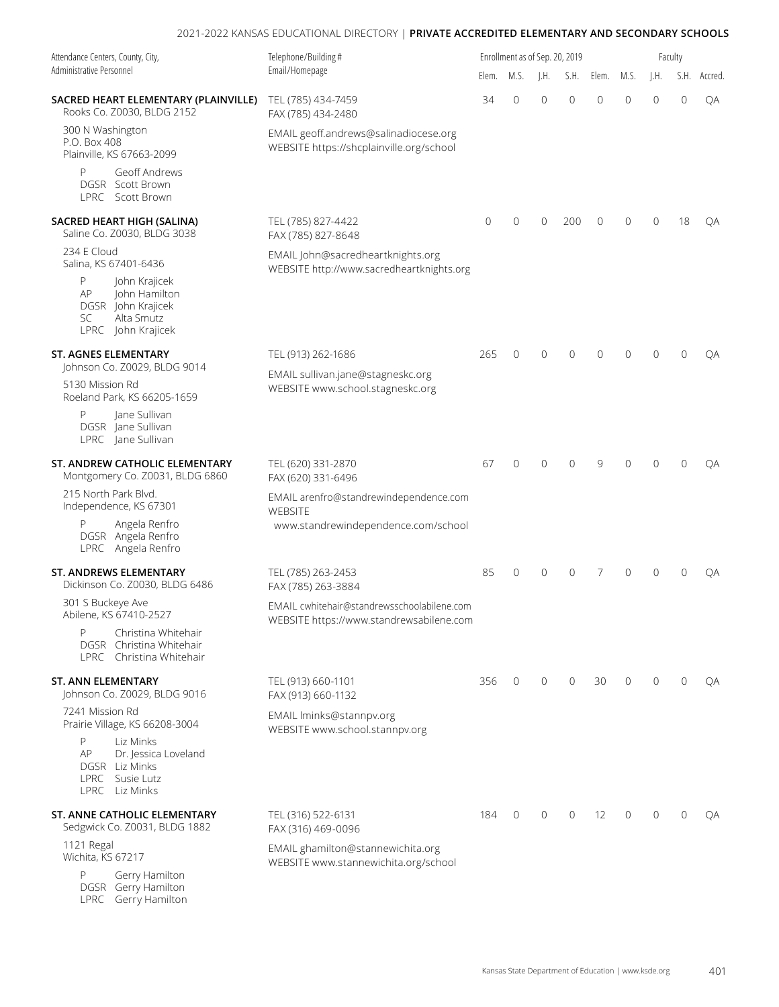| Attendance Centers, County, City,                                                                                | Telephone/Building#                                                                     |              | Enrollment as of Sep. 20, 2019 |              |                |              |             |                | Faculty        |         |
|------------------------------------------------------------------------------------------------------------------|-----------------------------------------------------------------------------------------|--------------|--------------------------------|--------------|----------------|--------------|-------------|----------------|----------------|---------|
| Administrative Personnel                                                                                         | Email/Homepage                                                                          | Elem.        | M.S.                           | J.H.         | S.H.           | Elem.        | M.S.        | $\vert$ .H.    | S.H.           | Accred. |
| SACRED HEART ELEMENTARY (PLAINVILLE)<br>Rooks Co. Z0030, BLDG 2152                                               | TEL (785) 434-7459<br>FAX (785) 434-2480                                                | 34           | 0                              | 0            | $\overline{0}$ | 0            | 0           | $\overline{0}$ | $\mathbf 0$    | QA      |
| 300 N Washington<br>P.O. Box 408<br>Plainville, KS 67663-2099                                                    | EMAIL geoff.andrews@salinadiocese.org<br>WEBSITE https://shcplainville.org/school       |              |                                |              |                |              |             |                |                |         |
| Geoff Andrews<br>P<br><b>DGSR</b> Scott Brown<br>LPRC Scott Brown                                                |                                                                                         |              |                                |              |                |              |             |                |                |         |
| SACRED HEART HIGH (SALINA)<br>Saline Co. Z0030, BLDG 3038                                                        | TEL (785) 827-4422<br>FAX (785) 827-8648                                                | $\mathbf{0}$ | 0                              | $\mathbf{0}$ | 200            | $\mathbf{0}$ | $\mathbf 0$ | $\mathbf{0}$   | 18             | QA      |
| 234 E Cloud<br>Salina, KS 67401-6436                                                                             | EMAIL John@sacredheartknights.org<br>WEBSITE http://www.sacredheartknights.org          |              |                                |              |                |              |             |                |                |         |
| P<br>John Krajicek<br>АP<br>John Hamilton<br>DGSR John Krajicek<br><b>SC</b><br>Alta Smutz<br>LPRC John Krajicek |                                                                                         |              |                                |              |                |              |             |                |                |         |
| <b>ST. AGNES ELEMENTARY</b>                                                                                      | TEL (913) 262-1686                                                                      | 265          | $\mathbf{0}$                   | $\mathbf{0}$ | $\overline{0}$ | $\mathbf{0}$ | 0           | $\Omega$       | $\overline{0}$ | QA      |
| Johnson Co. Z0029, BLDG 9014<br>5130 Mission Rd<br>Roeland Park, KS 66205-1659                                   | EMAIL sullivan.jane@stagneskc.org<br>WEBSITE www.school.stagneskc.org                   |              |                                |              |                |              |             |                |                |         |
| Jane Sullivan<br>P<br>DGSR Jane Sullivan<br>LPRC Jane Sullivan                                                   |                                                                                         |              |                                |              |                |              |             |                |                |         |
| ST. ANDREW CATHOLIC ELEMENTARY<br>Montgomery Co. Z0031, BLDG 6860                                                | TEL (620) 331-2870<br>FAX (620) 331-6496                                                | 67           | $\mathbf{0}$                   | $\mathbf{0}$ | 0              | 9            | 0           | $\Omega$       | $\mathbf{0}$   | QA      |
| 215 North Park Blvd.<br>Independence, KS 67301                                                                   | EMAIL arenfro@standrewindependence.com<br>WEBSITE                                       |              |                                |              |                |              |             |                |                |         |
| P<br>Angela Renfro<br>DGSR Angela Renfro<br>LPRC Angela Renfro                                                   | www.standrewindependence.com/school                                                     |              |                                |              |                |              |             |                |                |         |
| <b>ST. ANDREWS ELEMENTARY</b><br>Dickinson Co. Z0030, BLDG 6486                                                  | TEL (785) 263-2453<br>FAX (785) 263-3884                                                | 85           | $\mathbf{0}$                   | $\mathbf{0}$ | $\mathbf{0}$   | 7            | $\mathbf 0$ | $\Omega$       | $\mathbf{0}$   | QA      |
| 301 S Buckeye Ave<br>Abilene, KS 67410-2527                                                                      | EMAIL cwhitehair@standrewsschoolabilene.com<br>WEBSITE https://www.standrewsabilene.com |              |                                |              |                |              |             |                |                |         |
| P<br>Christina Whitehair<br>DGSR Christina Whitehair<br>LPRC Christina Whitehair                                 |                                                                                         |              |                                |              |                |              |             |                |                |         |
| <b>ST. ANN ELEMENTARY</b><br>Johnson Co. Z0029, BLDG 9016                                                        | TEL (913) 660-1101<br>FAX (913) 660-1132                                                | 356          | $\mathbf 0$                    | 0            | $\overline{0}$ | 30           | $\Omega$    | $\Omega$       | $\mathbf{0}$   | QA      |
| 7241 Mission Rd<br>Prairie Village, KS 66208-3004                                                                | EMAIL Iminks@stannpv.org<br>WEBSITE www.school.stannpv.org                              |              |                                |              |                |              |             |                |                |         |
| P<br>Liz Minks<br>AP<br>Dr. Jessica Loveland<br>DGSR Liz Minks<br>LPRC Susie Lutz<br>LPRC Liz Minks              |                                                                                         |              |                                |              |                |              |             |                |                |         |
| ST. ANNE CATHOLIC ELEMENTARY<br>Sedgwick Co. Z0031, BLDG 1882                                                    | TEL (316) 522-6131<br>FAX (316) 469-0096                                                | 184          | $\overline{0}$                 | 0            | $\overline{0}$ | 12           | $\Omega$    | $\Omega$       | $\mathbf{0}$   | QA      |
| 1121 Regal<br>Wichita, KS 67217                                                                                  | EMAIL ghamilton@stannewichita.org<br>WEBSITE www.stannewichita.org/school               |              |                                |              |                |              |             |                |                |         |
| P<br>Gerry Hamilton<br>DGSR Gerry Hamilton                                                                       |                                                                                         |              |                                |              |                |              |             |                |                |         |

LPRC Gerry Hamilton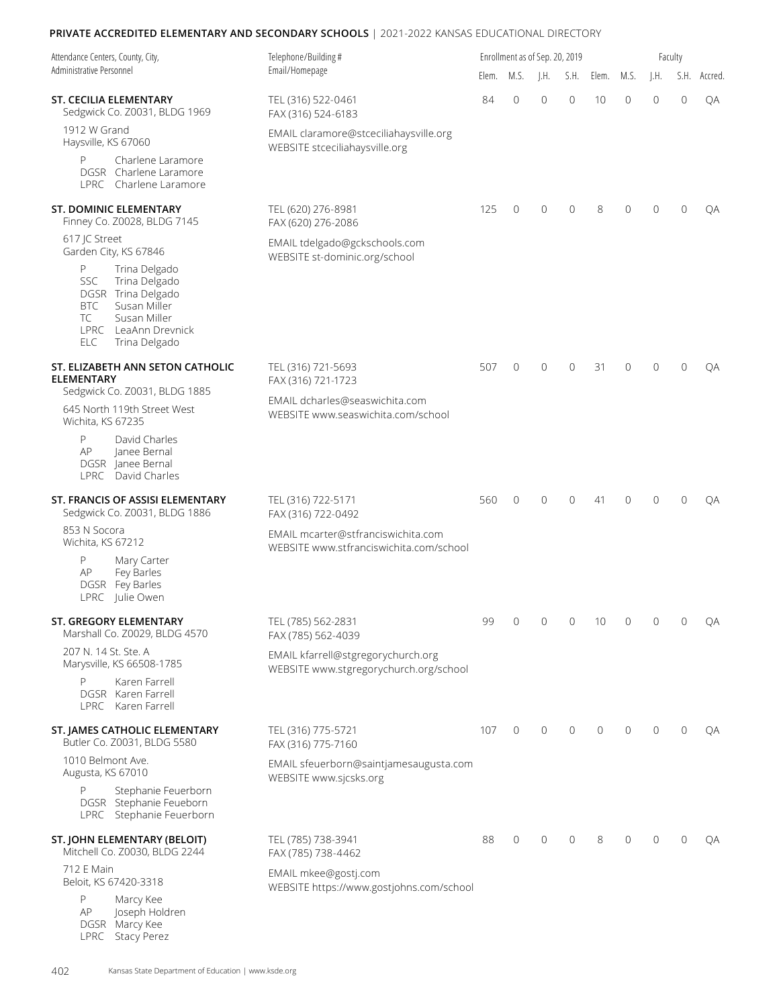| Attendance Centers, County, City,                                                                                                                                           | Telephone/Building #                                                          |       |                | Enrollment as of Sep. 20, 2019 |                |                |                |                | Faculty      |         |
|-----------------------------------------------------------------------------------------------------------------------------------------------------------------------------|-------------------------------------------------------------------------------|-------|----------------|--------------------------------|----------------|----------------|----------------|----------------|--------------|---------|
| Administrative Personnel                                                                                                                                                    | Email/Homepage                                                                | Elem. | M.S.           | $\parallel$ .H.                | S.H.           | Elem.          | M.S.           | I.H.           | S.H.         | Accred. |
| ST. CECILIA ELEMENTARY<br>Sedgwick Co. Z0031, BLDG 1969                                                                                                                     | TEL (316) 522-0461<br>FAX (316) 524-6183                                      | 84    | $\overline{0}$ | $\mathbf{0}$                   | $\mathbf{0}$   | 10             | 0              | $\mathbf{0}$   | $\mathbf{0}$ | QA      |
| 1912 W Grand<br>Haysville, KS 67060                                                                                                                                         | EMAIL claramore@stceciliahaysville.org<br>WEBSITE stceciliahaysville.org      |       |                |                                |                |                |                |                |              |         |
| P<br>Charlene Laramore<br>DGSR Charlene Laramore<br>LPRC Charlene Laramore                                                                                                  |                                                                               |       |                |                                |                |                |                |                |              |         |
| ST. DOMINIC ELEMENTARY<br>Finney Co. Z0028, BLDG 7145                                                                                                                       | TEL (620) 276-8981<br>FAX (620) 276-2086                                      | 125   | $\mathbf{0}$   | $\mathbf 0$                    | $\mathbf{0}$   | 8              | 0              | $\Omega$       | $\mathbf{0}$ | QA      |
| 617 JC Street<br>Garden City, KS 67846                                                                                                                                      | EMAIL tdelgado@gckschools.com<br>WEBSITE st-dominic.org/school                |       |                |                                |                |                |                |                |              |         |
| P<br>Trina Delgado<br><b>SSC</b><br>Trina Delgado<br>DGSR Trina Delgado<br>Susan Miller<br>BTC<br>TC<br>Susan Miller<br>LPRC LeaAnn Drevnick<br><b>ELC</b><br>Trina Delgado |                                                                               |       |                |                                |                |                |                |                |              |         |
| ST. ELIZABETH ANN SETON CATHOLIC<br><b>ELEMENTARY</b>                                                                                                                       | TEL (316) 721-5693<br>FAX (316) 721-1723                                      | 507   | $\overline{0}$ | $\mathbf 0$                    | $\mathbf{0}$   | 31             | 0              | $\Omega$       | $\Omega$     | QA      |
| Sedgwick Co. Z0031, BLDG 1885<br>645 North 119th Street West<br>Wichita, KS 67235                                                                                           | EMAIL dcharles@seaswichita.com<br>WEBSITE www.seaswichita.com/school          |       |                |                                |                |                |                |                |              |         |
| P<br>David Charles<br>AP<br>Janee Bernal<br>DGSR Janee Bernal<br>LPRC David Charles                                                                                         |                                                                               |       |                |                                |                |                |                |                |              |         |
| ST. FRANCIS OF ASSISI ELEMENTARY<br>Sedgwick Co. Z0031, BLDG 1886                                                                                                           | TEL (316) 722-5171<br>FAX (316) 722-0492                                      | 560   | $\mathbf{0}$   | $\Omega$                       | $\Omega$       | 41             | 0              | $\Omega$       | $\Omega$     | QA      |
| 853 N Socora<br>Wichita, KS 67212                                                                                                                                           | EMAIL mcarter@stfranciswichita.com<br>WEBSITE www.stfranciswichita.com/school |       |                |                                |                |                |                |                |              |         |
| P<br>Mary Carter<br>AP<br>Fey Barles<br>DGSR Fey Barles<br>LPRC Julie Owen                                                                                                  |                                                                               |       |                |                                |                |                |                |                |              |         |
| ST. GREGORY ELEMENTARY<br>Marshall Co. Z0029, BLDG 4570                                                                                                                     | TEL (785) 562-2831<br>FAX (785) 562-4039                                      | 99    | $\overline{0}$ | $\overline{0}$                 | $\overline{0}$ | 10             | $\overline{0}$ | $\overline{0}$ | 0            | QА      |
| 207 N. 14 St. Ste. A<br>Marysville, KS 66508-1785                                                                                                                           | EMAIL kfarrell@stgregorychurch.org<br>WEBSITE www.stgregorychurch.org/school  |       |                |                                |                |                |                |                |              |         |
| Karen Farrell<br>DGSR Karen Farrell<br>LPRC Karen Farrell                                                                                                                   |                                                                               |       |                |                                |                |                |                |                |              |         |
| ST. JAMES CATHOLIC ELEMENTARY<br>Butler Co. Z0031, BLDG 5580                                                                                                                | TEL (316) 775-5721<br>FAX (316) 775-7160                                      | 107   | $\circ$        | $\mathbf{0}$                   | $\Omega$       | $\overline{0}$ | $\mathbf{0}$   | $\Omega$       | $\mathbf{0}$ | QA      |
| 1010 Belmont Ave.<br>Augusta, KS 67010                                                                                                                                      | EMAIL sfeuerborn@saintjamesaugusta.com<br>WEBSITE www.sjcsks.org              |       |                |                                |                |                |                |                |              |         |
| Stephanie Feuerborn<br>P<br>DGSR Stephanie Feueborn<br>LPRC Stephanie Feuerborn                                                                                             |                                                                               |       |                |                                |                |                |                |                |              |         |
| ST. JOHN ELEMENTARY (BELOIT)<br>Mitchell Co. Z0030, BLDG 2244                                                                                                               | TEL (785) 738-3941<br>FAX (785) 738-4462                                      | 88    | $\overline{0}$ | 0                              | $\Omega$       | 8              | 0              | $\Omega$       | $\Omega$     | QA      |
| 712 E Main<br>Beloit, KS 67420-3318                                                                                                                                         | EMAIL mkee@gostj.com<br>WEBSITE https://www.gostjohns.com/school              |       |                |                                |                |                |                |                |              |         |
| P<br>Marcy Kee<br>AP<br>Joseph Holdren<br>DGSR Marcy Kee<br>LPRC Stacy Perez                                                                                                |                                                                               |       |                |                                |                |                |                |                |              |         |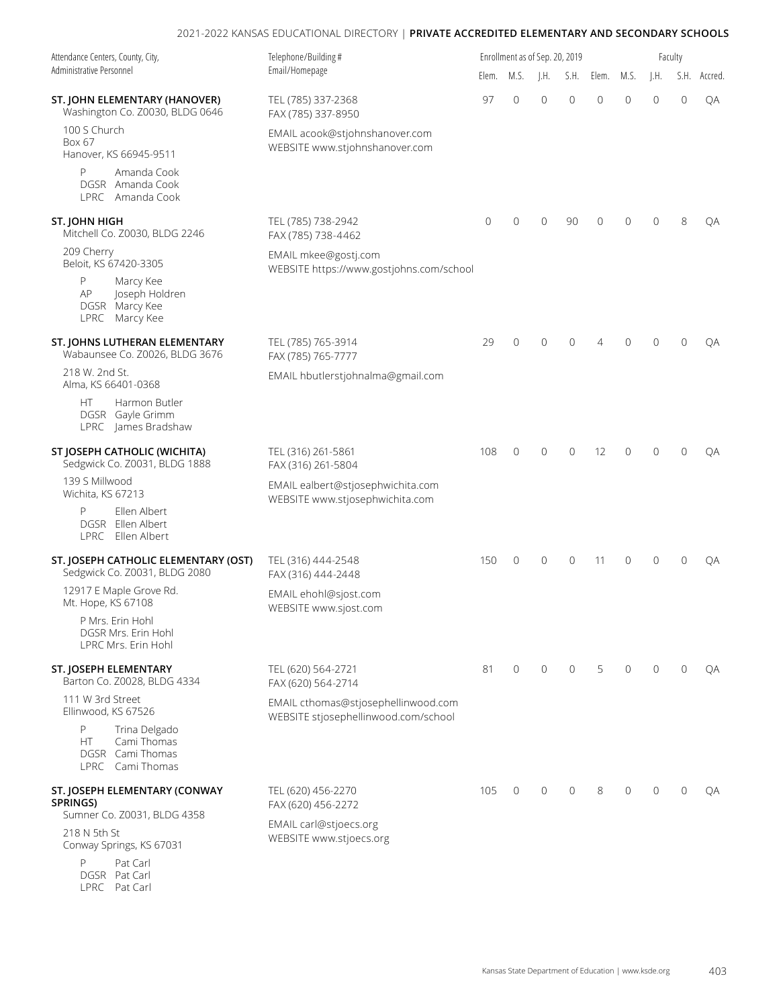| Attendance Centers, County, City,<br>Administrative Personnel                    | Telephone/Building#                                                         |              | Enrollment as of Sep. 20, 2019 |                 |                |                |                | Faculty        |              |         |  |  |
|----------------------------------------------------------------------------------|-----------------------------------------------------------------------------|--------------|--------------------------------|-----------------|----------------|----------------|----------------|----------------|--------------|---------|--|--|
|                                                                                  | Email/Homepage                                                              | Elem.        | M.S.                           | $\parallel$ .H. | S.H.           | Elem.          | M.S.           | I.H.           | S.H.         | Accred. |  |  |
| ST. JOHN ELEMENTARY (HANOVER)<br>Washington Co. Z0030, BLDG 0646                 | TEL (785) 337-2368<br>FAX (785) 337-8950                                    | 97           | $\overline{0}$                 | $\overline{0}$  | $\overline{0}$ | $\overline{0}$ | $\mathbf{0}$   | $\overline{0}$ | $\circ$      | QA      |  |  |
| 100 S Church<br>Box 67<br>Hanover, KS 66945-9511                                 | EMAIL acook@stjohnshanover.com<br>WEBSITE www.stjohnshanover.com            |              |                                |                 |                |                |                |                |              |         |  |  |
| P<br>Amanda Cook<br>DGSR Amanda Cook<br>LPRC Amanda Cook                         |                                                                             |              |                                |                 |                |                |                |                |              |         |  |  |
| ST. JOHN HIGH<br>Mitchell Co. Z0030, BLDG 2246                                   | TEL (785) 738-2942<br>FAX (785) 738-4462                                    | $\mathbf{0}$ | $\overline{0}$                 | $\overline{0}$  | 90             | $\overline{0}$ | $\overline{0}$ | $\Omega$       | 8            | QA      |  |  |
| 209 Cherry<br>Beloit, KS 67420-3305                                              | EMAIL mkee@gostj.com<br>WEBSITE https://www.gostjohns.com/school            |              |                                |                 |                |                |                |                |              |         |  |  |
| P<br>Marcy Kee<br>Joseph Holdren<br>AP<br>DGSR Marcy Kee<br>LPRC Marcy Kee       |                                                                             |              |                                |                 |                |                |                |                |              |         |  |  |
| ST. JOHNS LUTHERAN ELEMENTARY<br>Wabaunsee Co. Z0026, BLDG 3676                  | TEL (785) 765-3914<br>FAX (785) 765-7777                                    | 29           | 0                              | $\overline{0}$  | $\mathbf{0}$   | 4              | $\overline{0}$ | $\Omega$       | $\mathbf{0}$ | QA      |  |  |
| 218 W. 2nd St.<br>Alma, KS 66401-0368                                            | EMAIL hbutlerstjohnalma@gmail.com                                           |              |                                |                 |                |                |                |                |              |         |  |  |
| Harmon Butler<br>HT.<br>DGSR Gayle Grimm<br>LPRC James Bradshaw                  |                                                                             |              |                                |                 |                |                |                |                |              |         |  |  |
| ST JOSEPH CATHOLIC (WICHITA)<br>Sedgwick Co. Z0031, BLDG 1888                    | TEL (316) 261-5861<br>FAX (316) 261-5804                                    | 108          | $\mathbf{0}$                   | $\mathbf{0}$    | $\mathbf{0}$   | 12             | $\Omega$       | $\Omega$       | $\Omega$     | QA      |  |  |
| 139 S Millwood<br>Wichita, KS 67213                                              | EMAIL ealbert@stjosephwichita.com<br>WEBSITE www.stjosephwichita.com        |              |                                |                 |                |                |                |                |              |         |  |  |
| P<br>Ellen Albert<br>DGSR Ellen Albert<br>LPRC Ellen Albert                      |                                                                             |              |                                |                 |                |                |                |                |              |         |  |  |
| ST. JOSEPH CATHOLIC ELEMENTARY (OST)<br>Sedgwick Co. Z0031, BLDG 2080            | TEL (316) 444-2548<br>FAX (316) 444-2448                                    | 150          | $\overline{0}$                 | $\mathbf{0}$    | 0              | 11             | 0              | $\Omega$       | $\Omega$     | QA      |  |  |
| 12917 E Maple Grove Rd.<br>Mt. Hope, KS 67108                                    | EMAIL ehohl@sjost.com<br>WEBSITE www.sjost.com                              |              |                                |                 |                |                |                |                |              |         |  |  |
| P Mrs. Erin Hohl<br>DGSR Mrs. Erin Hohl<br>LPRC Mrs. Erin Hohl                   |                                                                             |              |                                |                 |                |                |                |                |              |         |  |  |
| ST. JOSEPH ELEMENTARY<br>Barton Co. Z0028, BLDG 4334                             | TEL (620) 564-2721<br>FAX (620) 564-2714                                    | 81           | $\mathbf{0}$                   | $\mathbf{0}$    | $\mathbf{0}$   | 5              | $\mathbf{0}$   | $\mathbf{0}$   | $\mathbf{0}$ | QA      |  |  |
| 111 W 3rd Street<br>Ellinwood, KS 67526                                          | EMAIL cthomas@stjosephellinwood.com<br>WEBSITE stjosephellinwood.com/school |              |                                |                 |                |                |                |                |              |         |  |  |
| P<br>Trina Delgado<br>Cami Thomas<br>HT.<br>DGSR Cami Thomas<br>LPRC Cami Thomas |                                                                             |              |                                |                 |                |                |                |                |              |         |  |  |
| ST. JOSEPH ELEMENTARY (CONWAY<br>SPRINGS)<br>Sumner Co. Z0031, BLDG 4358         | TEL (620) 456-2270<br>FAX (620) 456-2272                                    | 105          | $\overline{0}$                 | $\mathbf 0$     | $\mathbf{0}$   | 8              | $\mathbf{0}$   | $\Omega$       | $\mathbf{0}$ | QA      |  |  |
| 218 N 5th St<br>Conway Springs, KS 67031                                         | EMAIL carl@stjoecs.org<br>WEBSITE www.stjoecs.org                           |              |                                |                 |                |                |                |                |              |         |  |  |
| P<br>Pat Carl<br>DGSR Pat Carl                                                   |                                                                             |              |                                |                 |                |                |                |                |              |         |  |  |

LPRC Pat Carl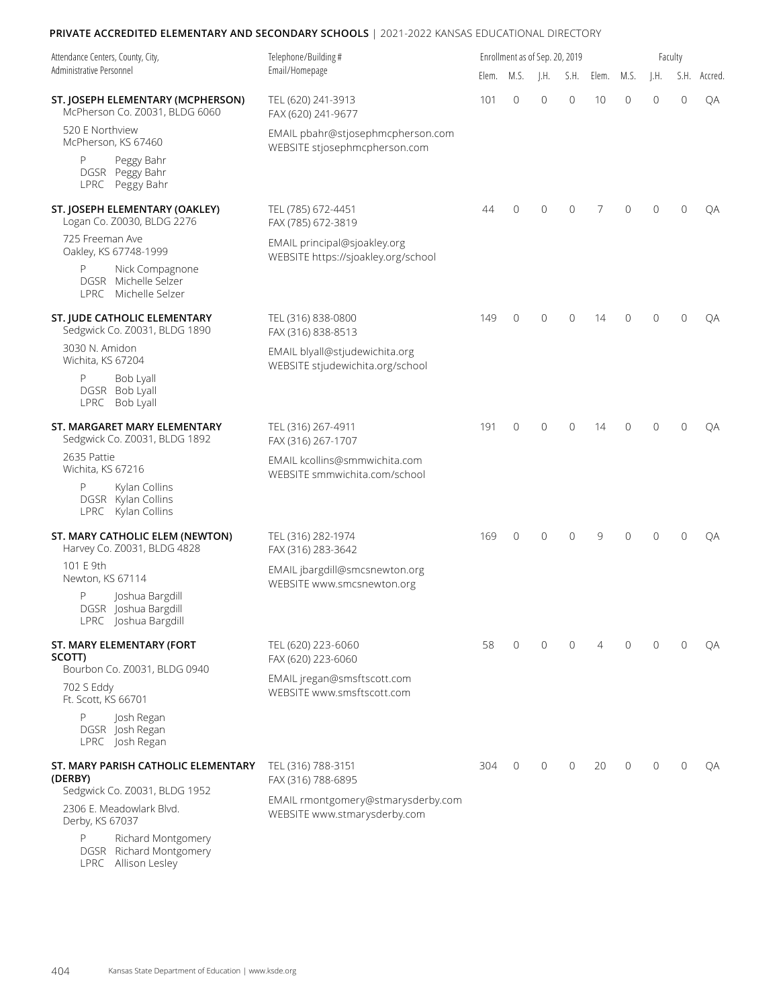| Attendance Centers, County, City,                                            | Telephone/Building#<br>Email/Homepage                                                                      |       | Enrollment as of Sep. 20, 2019 |                 |                |       | Faculty |             |              |         |  |  |
|------------------------------------------------------------------------------|------------------------------------------------------------------------------------------------------------|-------|--------------------------------|-----------------|----------------|-------|---------|-------------|--------------|---------|--|--|
| Administrative Personnel                                                     |                                                                                                            | Elem. | M.S.                           | $\parallel$ .H. | S.H.           | Elem. | M.S.    | $\vert$ .H. | S.H.         | Accred. |  |  |
| ST. JOSEPH ELEMENTARY (MCPHERSON)<br>McPherson Co. Z0031, BLDG 6060          | TEL (620) 241-3913<br>FAX (620) 241-9677                                                                   | 101   | $\overline{0}$                 | $\Omega$        | $\overline{0}$ | 10    | 0       | $\Omega$    | $\mathbf{0}$ | QA      |  |  |
| 520 E Northview<br>McPherson, KS 67460                                       | EMAIL pbahr@stjosephmcpherson.com<br>WEBSITE stjosephmcpherson.com                                         |       |                                |                 |                |       |         |             |              |         |  |  |
| P<br>Peggy Bahr<br>DGSR Peggy Bahr<br>LPRC<br>Peggy Bahr                     |                                                                                                            |       |                                |                 |                |       |         |             |              |         |  |  |
| ST. JOSEPH ELEMENTARY (OAKLEY)<br>Logan Co. Z0030, BLDG 2276                 | TEL (785) 672-4451<br>FAX (785) 672-3819                                                                   | 44    | 0                              | $\Omega$        | $\mathbf{0}$   | 7     | 0       | $\Omega$    | $\mathbf{0}$ | QA      |  |  |
| 725 Freeman Ave<br>Oakley, KS 67748-1999                                     | EMAIL principal@sjoakley.org<br>WEBSITE https://sjoakley.org/school                                        |       |                                |                 |                |       |         |             |              |         |  |  |
| P<br>Nick Compagnone<br>DGSR Michelle Selzer<br>LPRC Michelle Selzer         |                                                                                                            |       |                                |                 |                |       |         |             |              |         |  |  |
| ST. JUDE CATHOLIC ELEMENTARY<br>Sedgwick Co. Z0031, BLDG 1890                | TEL (316) 838-0800<br>FAX (316) 838-8513                                                                   | 149   | $\overline{0}$                 | $\mathbf 0$     | $\mathbf{0}$   | 14    | 0       | $\Omega$    | $\Omega$     | QA      |  |  |
| 3030 N. Amidon<br>Wichita, KS 67204                                          | EMAIL blyall@stjudewichita.org<br>WEBSITE stjudewichita.org/school                                         |       |                                |                 |                |       |         |             |              |         |  |  |
| P<br>Bob Lyall<br>DGSR Bob Lyall<br>LPRC Bob Lyall                           |                                                                                                            |       |                                |                 |                |       |         |             |              |         |  |  |
| ST. MARGARET MARY ELEMENTARY<br>Sedgwick Co. Z0031, BLDG 1892                | TEL (316) 267-4911<br>FAX (316) 267-1707<br>EMAIL kcollins@smmwichita.com<br>WEBSITE smmwichita.com/school | 191   | $\overline{0}$                 | $\mathbf{0}$    | $\overline{0}$ | 14    | 0       | $\Omega$    | $\mathbf{0}$ | QA      |  |  |
| 2635 Pattie<br>Wichita, KS 67216                                             |                                                                                                            |       |                                |                 |                |       |         |             |              |         |  |  |
| P<br>Kylan Collins<br>DGSR Kylan Collins<br>LPRC Kylan Collins               |                                                                                                            |       |                                |                 |                |       |         |             |              |         |  |  |
| ST. MARY CATHOLIC ELEM (NEWTON)<br>Harvey Co. Z0031, BLDG 4828               | TEL (316) 282-1974<br>FAX (316) 283-3642                                                                   | 169   | $\overline{0}$                 | $\mathbf{0}$    | $\Omega$       | 9     | 0       | $\Omega$    | $\Omega$     | OA      |  |  |
| 101 F 9th<br>Newton, KS 67114                                                | EMAIL jbargdill@smcsnewton.org<br>WEBSITE www.smcsnewton.org                                               |       |                                |                 |                |       |         |             |              |         |  |  |
| P<br>Joshua Bargdill<br>DGSR Joshua Bargdill<br>LPRC Joshua Bargdill         |                                                                                                            |       |                                |                 |                |       |         |             |              |         |  |  |
| ST. MARY ELEMENTARY (FORT<br>SCOTT)                                          | TEL (620) 223-6060<br>FAX (620) 223-6060                                                                   | 58    | $\mathbf{0}$                   | $\mathbf 0$     | 0              | 4     | 0       | $\Omega$    | $\Omega$     | QA      |  |  |
| Bourbon Co. Z0031, BLDG 0940<br>702 S Eddy<br>Ft. Scott, KS 66701            | EMAIL jregan@smsftscott.com<br>WEBSITE www.smsftscott.com                                                  |       |                                |                 |                |       |         |             |              |         |  |  |
| P<br>Josh Regan<br>DGSR Josh Regan<br>LPRC Josh Regan                        |                                                                                                            |       |                                |                 |                |       |         |             |              |         |  |  |
| ST. MARY PARISH CATHOLIC ELEMENTARY<br>(DERBY)                               | TEL (316) 788-3151<br>FAX (316) 788-6895                                                                   | 304   | $\mathbf 0$                    | $\mathbf{0}$    | $\overline{0}$ | 20    | 0       | $\Omega$    | $\mathbf{0}$ | QA      |  |  |
| Sedgwick Co. Z0031, BLDG 1952<br>2306 E. Meadowlark Blvd.<br>Derby, KS 67037 | EMAIL rmontgomery@stmarysderby.com<br>WEBSITE www.stmarysderby.com                                         |       |                                |                 |                |       |         |             |              |         |  |  |
| P<br>Richard Montgomery<br>DGSR Richard Montgomery                           |                                                                                                            |       |                                |                 |                |       |         |             |              |         |  |  |

LPRC Allison Lesley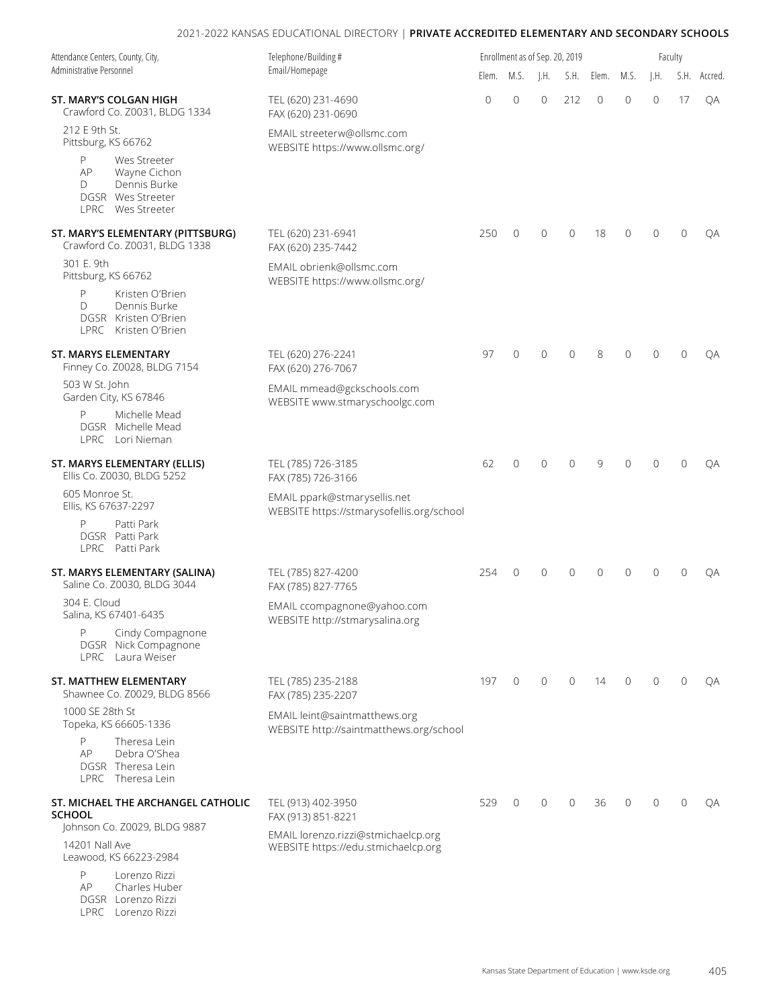| Attendance Centers, County, City,<br>Administrative Personnel                                          | Telephone/Building#<br>Email/Homepage                                      |       | Enrollment as of Sep. 20, 2019 |               |                |                |             | Faculty        |                |              |  |  |
|--------------------------------------------------------------------------------------------------------|----------------------------------------------------------------------------|-------|--------------------------------|---------------|----------------|----------------|-------------|----------------|----------------|--------------|--|--|
|                                                                                                        |                                                                            | Elem. | M.S.                           | $\mathsf{H}.$ |                | S.H. Elem.     | M.S.        | J.H.           |                | S.H. Accred. |  |  |
| ST. MARY'S COLGAN HIGH<br>Crawford Co. Z0031, BLDG 1334                                                | TEL (620) 231-4690<br>FAX (620) 231-0690                                   | 0     | $\overline{0}$                 | $\mathbf{0}$  | 212            | $\overline{0}$ | $\mathbf 0$ | 0              | 17             | QA           |  |  |
| 212 E 9th St.<br>Pittsburg, KS 66762                                                                   | EMAIL streeterw@ollsmc.com<br>WEBSITE https://www.ollsmc.org/              |       |                                |               |                |                |             |                |                |              |  |  |
| P<br>Wes Streeter<br>Wayne Cichon<br>AP<br>Dennis Burke<br>D<br>DGSR Wes Streeter<br>LPRC Wes Streeter |                                                                            |       |                                |               |                |                |             |                |                |              |  |  |
| ST. MARY'S ELEMENTARY (PITTSBURG)<br>Crawford Co. Z0031, BLDG 1338                                     | TEL (620) 231-6941<br>FAX (620) 235-7442                                   | 250   | $\mathbf{0}$                   | $\mathbf{0}$  | $\overline{0}$ | 18             | 0           | 0              | $\overline{0}$ | QA           |  |  |
| 301 E. 9th<br>Pittsburg, KS 66762                                                                      | EMAIL obrienk@ollsmc.com<br>WEBSITE https://www.ollsmc.org/                |       |                                |               |                |                |             |                |                |              |  |  |
| P<br>Kristen O'Brien<br>Dennis Burke<br>$\Box$<br>DGSR Kristen O'Brien<br>LPRC Kristen O'Brien         |                                                                            |       |                                |               |                |                |             |                |                |              |  |  |
| ST. MARYS ELEMENTARY<br>Finney Co. Z0028, BLDG 7154                                                    | TEL (620) 276-2241<br>FAX (620) 276-7067                                   | 97    | $\mathbf{0}$                   | $\mathbf 0$   | $\mathbf{0}$   | 8              | 0           | $\Omega$       | $\mathbf{0}$   | QA           |  |  |
| 503 W St. John<br>Garden City, KS 67846                                                                | EMAIL mmead@gckschools.com<br>WEBSITE www.stmaryschoolgc.com               |       |                                |               |                |                |             |                |                |              |  |  |
| P<br>Michelle Mead<br>DGSR Michelle Mead<br>LPRC Lori Nieman                                           |                                                                            |       |                                |               |                |                |             |                |                |              |  |  |
| ST. MARYS ELEMENTARY (ELLIS)<br>Ellis Co. Z0030, BLDG 5252                                             | TEL (785) 726-3185<br>FAX (785) 726-3166                                   | 62    | $\mathbf{0}$                   | $\mathbf{0}$  | $\mathbf{0}$   | 9              | 0           | $\overline{0}$ | $\mathbf{0}$   | QA           |  |  |
| 605 Monroe St.<br>Ellis, KS 67637-2297                                                                 | EMAIL ppark@stmarysellis.net<br>WEBSITE https://stmarysofellis.org/school  |       |                                |               |                |                |             |                |                |              |  |  |
| P<br>Patti Park<br>DGSR Patti Park<br>LPRC Patti Park                                                  |                                                                            |       |                                |               |                |                |             |                |                |              |  |  |
| ST. MARYS ELEMENTARY (SALINA)<br>Saline Co. Z0030, BLDG 3044                                           | TEL (785) 827-4200<br>FAX (785) 827-7765                                   | 254   | $\mathbf{0}$                   | $\mathbf 0$   | $\mathbf{0}$   | $\overline{0}$ | 0           | $\Omega$       | $\overline{0}$ | OA           |  |  |
| 304 E. Cloud<br>Salina, KS 67401-6435                                                                  | EMAIL ccompagnone@yahoo.com<br>WEBSITE http://stmarysalina.org             |       |                                |               |                |                |             |                |                |              |  |  |
| P<br>Cindy Compagnone<br>DGSR Nick Compagnone<br>LPRC Laura Weiser                                     |                                                                            |       |                                |               |                |                |             |                |                |              |  |  |
| ST. MATTHEW ELEMENTARY<br>Shawnee Co. Z0029, BLDG 8566                                                 | TEL (785) 235-2188<br>FAX (785) 235-2207                                   | 197   | $\mathbf 0$                    | $\mathbf 0$   | $\mathbf{0}$   | 14             | $\mathbf 0$ | $\overline{0}$ | $\mathbf{0}$   | QA           |  |  |
| 1000 SE 28th St<br>Topeka, KS 66605-1336                                                               | EMAIL leint@saintmatthews.org<br>WEBSITE http://saintmatthews.org/school   |       |                                |               |                |                |             |                |                |              |  |  |
| P<br>Theresa Lein<br>Debra O'Shea<br>AP<br>DGSR Theresa Lein<br>LPRC Theresa Lein                      |                                                                            |       |                                |               |                |                |             |                |                |              |  |  |
| ST. MICHAEL THE ARCHANGEL CATHOLIC<br><b>SCHOOL</b>                                                    | TEL (913) 402-3950<br>FAX (913) 851-8221                                   | 529   | $\mathbf 0$                    | $\mathbf{0}$  | $\mathbf{0}$   | 36             | 0           | $\Omega$       | $\mathbf{0}$   | QA           |  |  |
| Johnson Co. Z0029, BLDG 9887<br>14201 Nall Ave<br>Leawood, KS 66223-2984                               | EMAIL lorenzo.rizzi@stmichaelcp.org<br>WEBSITE https://edu.stmichaelcp.org |       |                                |               |                |                |             |                |                |              |  |  |
| P<br>Lorenzo Rizzi<br>Charles Huber<br>AP<br>DGSR Lorenzo Rizzi                                        |                                                                            |       |                                |               |                |                |             |                |                |              |  |  |

LPRC Lorenzo Rizzi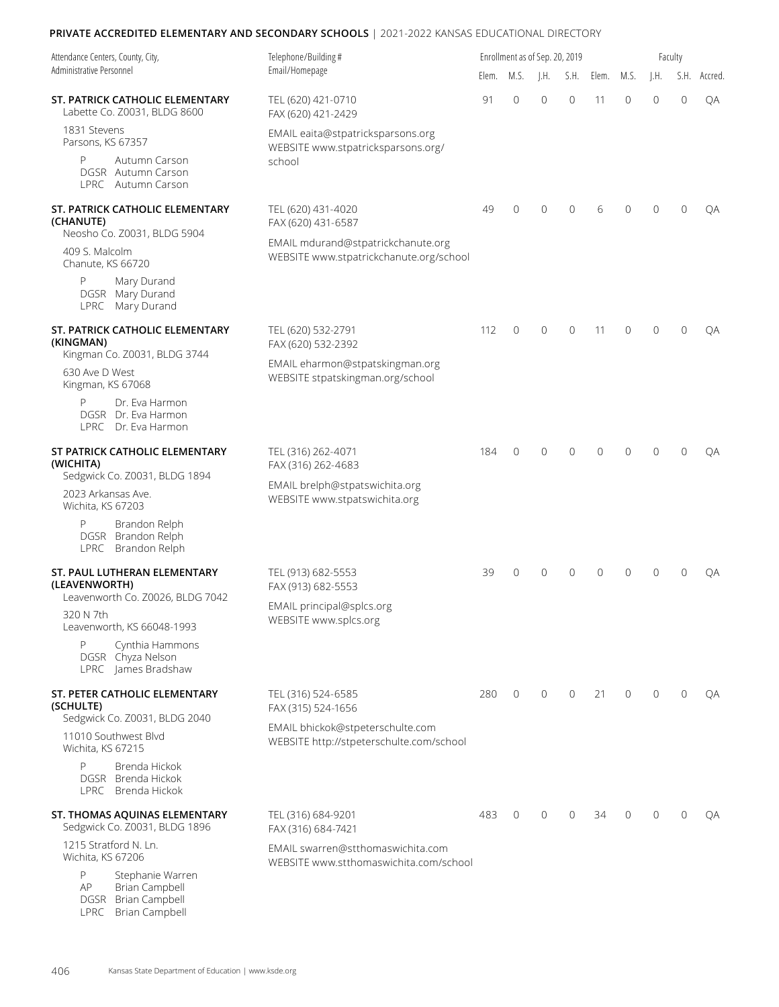| Attendance Centers, County, City,<br>Administrative Personnel                                      | Telephone/Building#<br>Email/Homepage                                                                           |       |                | Enrollment as of Sep. 20, 2019 |              |          | Faculty      |                |              |         |  |  |
|----------------------------------------------------------------------------------------------------|-----------------------------------------------------------------------------------------------------------------|-------|----------------|--------------------------------|--------------|----------|--------------|----------------|--------------|---------|--|--|
|                                                                                                    |                                                                                                                 | Elem. | M.S.           | $\mathsf{H}$ .                 | S.H.         | Elem.    | M.S.         | I.H.           | S.H.         | Accred. |  |  |
| ST. PATRICK CATHOLIC ELEMENTARY<br>Labette Co. Z0031, BLDG 8600                                    | TEL (620) 421-0710<br>FAX (620) 421-2429                                                                        | 91    | $\overline{0}$ | $\mathbf 0$                    | $\mathbf{0}$ | 11       | 0            | $\overline{0}$ | $\mathbf 0$  | QA      |  |  |
| 1831 Stevens<br>Parsons, KS 67357                                                                  | EMAIL eaita@stpatricksparsons.org<br>WEBSITE www.stpatricksparsons.org/                                         |       |                |                                |              |          |              |                |              |         |  |  |
| P<br>Autumn Carson<br>DGSR Autumn Carson<br>LPRC Autumn Carson                                     | school                                                                                                          |       |                |                                |              |          |              |                |              |         |  |  |
| ST. PATRICK CATHOLIC ELEMENTARY<br>(CHANUTE)<br>Neosho Co. Z0031, BLDG 5904                        | TEL (620) 431-4020<br>FAX (620) 431-6587                                                                        | 49    | $\mathbf{0}$   | $\Omega$                       | $\mathbf{0}$ | 6        | 0            | $\Omega$       | $\mathbf{0}$ | QA      |  |  |
| 409 S. Malcolm<br>Chanute, KS 66720                                                                | EMAIL mdurand@stpatrickchanute.org<br>WEBSITE www.stpatrickchanute.org/school                                   |       |                |                                |              |          |              |                |              |         |  |  |
| P<br>Mary Durand<br>DGSR Mary Durand<br>LPRC Mary Durand                                           |                                                                                                                 |       |                |                                |              |          |              |                |              |         |  |  |
| ST. PATRICK CATHOLIC ELEMENTARY<br>(KINGMAN)<br>Kingman Co. Z0031, BLDG 3744                       | TEL (620) 532-2791<br>FAX (620) 532-2392<br>EMAIL eharmon@stpatskingman.org<br>WEBSITE stpatskingman.org/school | 112   | $\mathbf{0}$   | $\Omega$                       | $\mathbf{0}$ | 11       | $\Omega$     | $\Omega$       | $\mathbf{0}$ | QA      |  |  |
| 630 Ave D West<br>Kingman, KS 67068                                                                |                                                                                                                 |       |                |                                |              |          |              |                |              |         |  |  |
| Dr. Eva Harmon<br>P<br>DGSR Dr. Eva Harmon<br>LPRC Dr. Eva Harmon                                  |                                                                                                                 |       |                |                                |              |          |              |                |              |         |  |  |
| ST PATRICK CATHOLIC ELEMENTARY<br>(WICHITA)<br>Sedgwick Co. Z0031, BLDG 1894                       | TEL (316) 262-4071<br>FAX (316) 262-4683<br>EMAIL brelph@stpatswichita.org<br>WEBSITE www.stpatswichita.org     | 184   | $\mathbf{0}$   | $\Omega$                       | $\Omega$     | $\Omega$ | $\Omega$     | $\Omega$       | $\Omega$     | ОA      |  |  |
| 2023 Arkansas Ave.<br>Wichita, KS 67203                                                            |                                                                                                                 |       |                |                                |              |          |              |                |              |         |  |  |
| Brandon Relph<br>P<br>DGSR Brandon Relph<br>LPRC Brandon Relph                                     |                                                                                                                 |       |                |                                |              |          |              |                |              |         |  |  |
| ST. PAUL LUTHERAN ELEMENTARY<br>(LEAVENWORTH)<br>Leavenworth Co. Z0026, BLDG 7042                  | TEL (913) 682-5553<br>FAX (913) 682-5553                                                                        | 39    | $\mathbf{0}$   | $\Omega$                       | 0            | $\Omega$ | 0            | $\Omega$       | $\Omega$     | ОA      |  |  |
| 320 N 7th<br>Leavenworth, KS 66048-1993                                                            | EMAIL principal@splcs.org<br>WEBSITE www.splcs.org                                                              |       |                |                                |              |          |              |                |              |         |  |  |
| P<br>Cynthia Hammons<br>DGSR Chyza Nelson<br>LPRC James Bradshaw                                   |                                                                                                                 |       |                |                                |              |          |              |                |              |         |  |  |
| ST. PETER CATHOLIC ELEMENTARY<br>(SCHULTE)<br>Sedgwick Co. Z0031, BLDG 2040                        | TEL (316) 524-6585<br>FAX (315) 524-1656                                                                        | 280   | $\mathbf 0$    | $\mathbf{0}$                   | $\mathbf{0}$ | 21       | $\mathbf{0}$ | $\Omega$       | $\mathbf{0}$ | QA      |  |  |
| 11010 Southwest Blvd<br>Wichita, KS 67215                                                          | EMAIL bhickok@stpeterschulte.com<br>WEBSITE http://stpeterschulte.com/school                                    |       |                |                                |              |          |              |                |              |         |  |  |
| P<br>Brenda Hickok<br>DGSR Brenda Hickok<br>LPRC Brenda Hickok                                     |                                                                                                                 |       |                |                                |              |          |              |                |              |         |  |  |
| ST. THOMAS AQUINAS ELEMENTARY<br>Sedgwick Co. Z0031, BLDG 1896                                     | TEL (316) 684-9201<br>FAX (316) 684-7421                                                                        | 483   | $\mathbf{0}$   | $\mathbf{0}$                   | $\mathbf{0}$ | 34       | 0            | $\Omega$       | $\mathbf{0}$ | QA      |  |  |
| 1215 Stratford N. Ln.<br>Wichita, KS 67206                                                         | EMAIL swarren@stthomaswichita.com<br>WEBSITE www.stthomaswichita.com/school                                     |       |                |                                |              |          |              |                |              |         |  |  |
| P<br>Stephanie Warren<br><b>Brian Campbell</b><br>AP<br>DGSR Brian Campbell<br>LPRC Brian Campbell |                                                                                                                 |       |                |                                |              |          |              |                |              |         |  |  |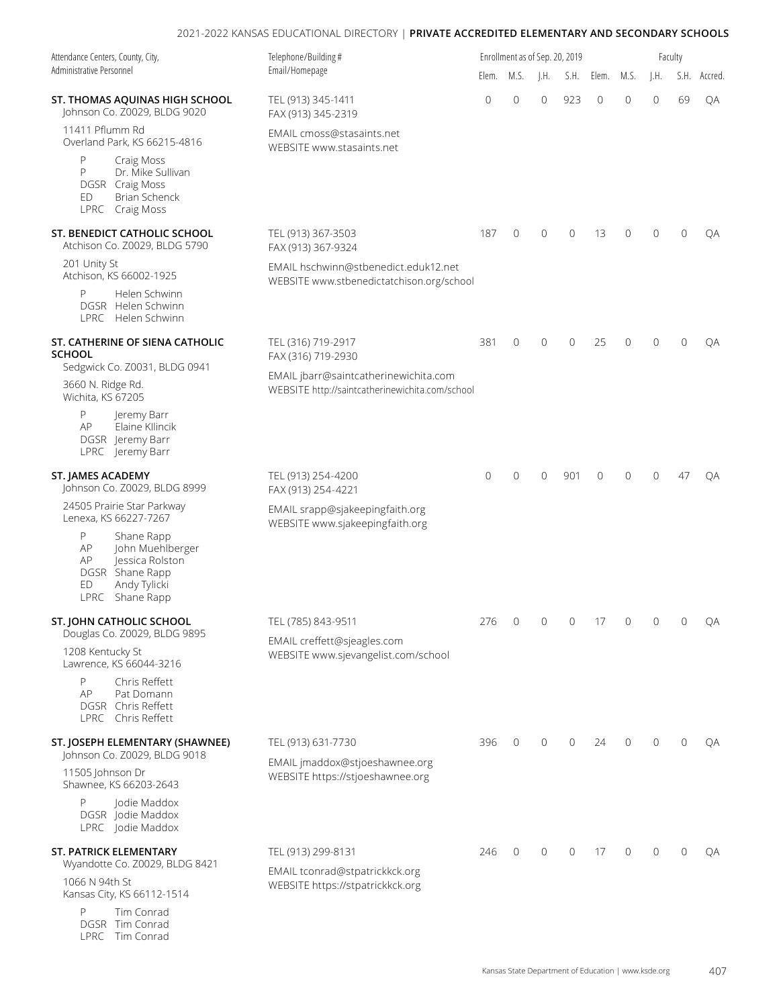| Attendance Centers, County, City,<br>Administrative Personnel                                                                  | Telephone/Building#<br>Email/Homepage                                                                                                |              | Enrollment as of Sep. 20, 2019          |                           |                |                |         |                |                |              |
|--------------------------------------------------------------------------------------------------------------------------------|--------------------------------------------------------------------------------------------------------------------------------------|--------------|-----------------------------------------|---------------------------|----------------|----------------|---------|----------------|----------------|--------------|
|                                                                                                                                |                                                                                                                                      | Elem.        | M.S.                                    | $\mathsf{I}.\mathsf{H}$ . | S.H.           | Elem.          | M.S.    | I.H.           |                | S.H. Accred. |
| ST. THOMAS AQUINAS HIGH SCHOOL<br>Johnson Co. Z0029, BLDG 9020                                                                 | TEL (913) 345-1411<br>FAX (913) 345-2319                                                                                             | $\mathbf{0}$ | $\mathbf 0$                             | $\mathbf{0}$              | 923            | $\overline{0}$ | 0       | $\mathbf 0$    | 69             | QA           |
| 11411 Pflumm Rd<br>Overland Park, KS 66215-4816                                                                                | EMAIL cmoss@stasaints.net<br>WEBSITE www.stasaints.net                                                                               |              |                                         |                           |                |                |         |                |                |              |
| P<br>Craig Moss<br>P<br>Dr. Mike Sullivan<br>DGSR Craig Moss<br>ED<br><b>Brian Schenck</b><br>LPRC Craig Moss                  |                                                                                                                                      |              |                                         |                           |                |                |         |                |                |              |
| ST. BENEDICT CATHOLIC SCHOOL<br>Atchison Co. Z0029, BLDG 5790                                                                  | TEL (913) 367-3503<br>FAX (913) 367-9324                                                                                             | 187          | $\mathbf{0}$                            | $\mathbf{0}$              | $\overline{0}$ | 13             | 0       | 0              | $\mathbf{0}$   | QA           |
| 201 Unity St<br>Atchison, KS 66002-1925                                                                                        | EMAIL hschwinn@stbenedict.eduk12.net<br>WEBSITE www.stbenedictatchison.org/school                                                    |              |                                         |                           |                |                |         |                |                |              |
| P<br>Helen Schwinn<br>DGSR Helen Schwinn<br>LPRC Helen Schwinn                                                                 |                                                                                                                                      |              |                                         |                           |                |                |         |                |                |              |
| ST. CATHERINE OF SIENA CATHOLIC<br><b>SCHOOL</b>                                                                               | TEL (316) 719-2917<br>FAX (316) 719-2930<br>EMAIL jbarr@saintcatherinewichita.com<br>WEBSITE http://saintcatherinewichita.com/school | 381          | $\mathbf 0$                             | $\overline{0}$            | $\overline{0}$ | 25             | 0       | $\Omega$       | $\mathbf{0}$   | QA           |
| Sedgwick Co. Z0031, BLDG 0941<br>3660 N. Ridge Rd.<br>Wichita, KS 67205                                                        |                                                                                                                                      |              |                                         |                           |                |                |         |                |                |              |
| P<br>Jeremy Barr<br>AP<br>Elaine Kllincik<br>DGSR Jeremy Barr<br>LPRC Jeremy Barr                                              |                                                                                                                                      |              |                                         |                           |                |                |         |                |                |              |
| ST. JAMES ACADEMY<br>Johnson Co. Z0029, BLDG 8999                                                                              | TEL (913) 254-4200<br>FAX (913) 254-4221<br>EMAIL srapp@sjakeepingfaith.org<br>WEBSITE www.sjakeepingfaith.org                       | $\mathbf{0}$ | $\overline{0}$                          | $\mathbf{0}$              | 901            | $\overline{0}$ | 0       | $\Omega$       | 47             | ОA           |
| 24505 Prairie Star Parkway<br>Lenexa, KS 66227-7267                                                                            |                                                                                                                                      |              |                                         |                           |                |                |         |                |                |              |
| Ρ<br>Shane Rapp<br>AP<br>John Muehlberger<br>AP<br>Jessica Rolston<br>DGSR Shane Rapp<br>Andy Tylicki<br>ED<br>LPRC Shane Rapp |                                                                                                                                      |              |                                         |                           |                |                |         |                |                |              |
| ST. JOHN CATHOLIC SCHOOL                                                                                                       | TEL (785) 843-9511                                                                                                                   | 276          | $\begin{matrix} 0 & 0 & 0 \end{matrix}$ |                           |                | 17 0           |         | $\overline{0}$ | $\overline{0}$ | QA           |
| Douglas Co. Z0029, BLDG 9895<br>1208 Kentucky St<br>Lawrence, KS 66044-3216                                                    | EMAIL creffett@sjeagles.com<br>WEBSITE www.sjevangelist.com/school                                                                   |              |                                         |                           |                |                |         |                |                |              |
| P<br>Chris Reffett<br>AP<br>Pat Domann<br>DGSR Chris Reffett<br>LPRC Chris Reffett                                             |                                                                                                                                      |              |                                         |                           |                |                |         |                |                |              |
| ST. JOSEPH ELEMENTARY (SHAWNEE)<br>Johnson Co. Z0029, BLDG 9018                                                                | TEL (913) 631-7730                                                                                                                   | 396          | $\mathbf{0}$                            | $\mathbf{0}$              | $\mathbf{0}$   | 24             | $\circ$ | $\mathbf{0}$   | $\mathbf{0}$   | QA           |
| 11505 Johnson Dr<br>Shawnee, KS 66203-2643                                                                                     | EMAIL jmaddox@stjoeshawnee.org<br>WEBSITE https://stjoeshawnee.org                                                                   |              |                                         |                           |                |                |         |                |                |              |
| P<br>Jodie Maddox<br>DGSR Jodie Maddox<br>LPRC Jodie Maddox                                                                    |                                                                                                                                      |              |                                         |                           |                |                |         |                |                |              |
| ST. PATRICK ELEMENTARY                                                                                                         | TEL (913) 299-8131                                                                                                                   | 246          | $\mathbf{0}$                            | $\mathbf{0}$              | $\mathbf{0}$   | 17             | $\circ$ | $\Omega$       | $\mathbf{0}$   | QA           |
| Wyandotte Co. Z0029, BLDG 8421<br>1066 N 94th St<br>Kansas City, KS 66112-1514                                                 | EMAIL tconrad@stpatrickkck.org<br>WEBSITE https://stpatrickkck.org                                                                   |              |                                         |                           |                |                |         |                |                |              |
| P<br>Tim Conrad<br>DGSR Tim Conrad                                                                                             |                                                                                                                                      |              |                                         |                           |                |                |         |                |                |              |

LPRC Tim Conrad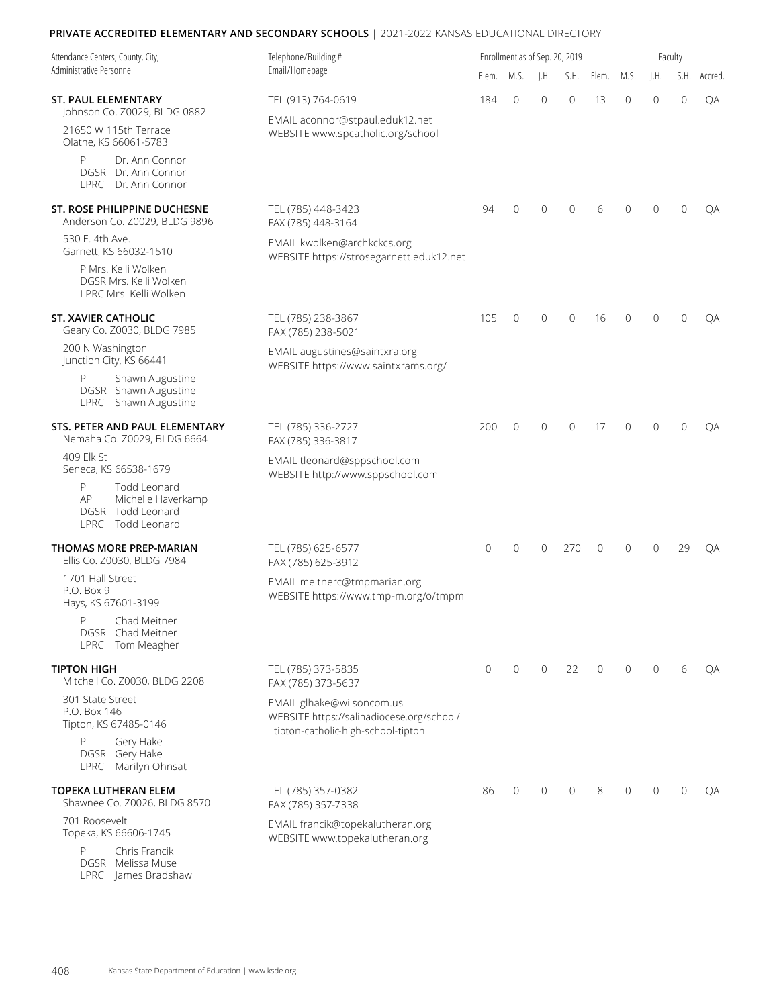| Attendance Centers, County, City,                                                       | Telephone/Building #<br>Email/Homepage                                                                       | Enrollment as of Sep. 20, 2019<br>Faculty |                |                 |                |              |              |          |              |              |  |  |
|-----------------------------------------------------------------------------------------|--------------------------------------------------------------------------------------------------------------|-------------------------------------------|----------------|-----------------|----------------|--------------|--------------|----------|--------------|--------------|--|--|
| Administrative Personnel                                                                |                                                                                                              |                                           | Elem. M.S.     | $\mathsf{I.H.}$ | S.H.           | Elem.        | M.S.         | J.H.     |              | S.H. Accred. |  |  |
| <b>ST. PAUL ELEMENTARY</b><br>Johnson Co. Z0029, BLDG 0882                              | TEL (913) 764-0619<br>EMAIL aconnor@stpaul.eduk12.net<br>WEBSITE www.spcatholic.org/school                   | 184                                       | $\overline{0}$ | $\Omega$        | $\mathbf{0}$   | 13           | $\Omega$     | $\Omega$ | $\mathbf{0}$ | QA           |  |  |
| 21650 W 115th Terrace<br>Olathe, KS 66061-5783                                          |                                                                                                              |                                           |                |                 |                |              |              |          |              |              |  |  |
| P<br>Dr. Ann Connor<br>DGSR Dr. Ann Connor<br>LPRC Dr. Ann Connor                       |                                                                                                              |                                           |                |                 |                |              |              |          |              |              |  |  |
| ST. ROSE PHILIPPINE DUCHESNE<br>Anderson Co. Z0029, BLDG 9896                           | TEL (785) 448-3423<br>FAX (785) 448-3164                                                                     | 94                                        | $\mathbf{0}$   | $\Omega$        | $\Omega$       | 6            | $\Omega$     | $\Omega$ | $\Omega$     | QA           |  |  |
| 530 E. 4th Ave.<br>Garnett, KS 66032-1510                                               | EMAIL kwolken@archkckcs.org<br>WEBSITE https://strosegarnett.eduk12.net                                      |                                           |                |                 |                |              |              |          |              |              |  |  |
| P Mrs. Kelli Wolken<br>DGSR Mrs. Kelli Wolken<br>LPRC Mrs. Kelli Wolken                 |                                                                                                              |                                           |                |                 |                |              |              |          |              |              |  |  |
| <b>ST. XAVIER CATHOLIC</b><br>Geary Co. Z0030, BLDG 7985                                | TEL (785) 238-3867<br>FAX (785) 238-5021                                                                     | 105                                       | $\mathbf{0}$   | $\mathbf{0}$    | $\mathbf{0}$   | 16           | 0            | $\Omega$ | $\Omega$     | QA           |  |  |
| 200 N Washington<br>Junction City, KS 66441                                             | EMAIL augustines@saintxra.org<br>WEBSITE https://www.saintxrams.org/                                         |                                           |                |                 |                |              |              |          |              |              |  |  |
| Shawn Augustine<br>P<br>DGSR Shawn Augustine<br>LPRC Shawn Augustine                    |                                                                                                              |                                           |                |                 |                |              |              |          |              |              |  |  |
| STS. PETER AND PAUL ELEMENTARY<br>Nemaha Co. Z0029, BLDG 6664                           | TEL (785) 336-2727<br>FAX (785) 336-3817                                                                     | 200                                       | $\overline{0}$ | $\mathbf{0}$    | $\overline{0}$ | 17           | $\Omega$     | $\Omega$ | $\Omega$     | ОA           |  |  |
| 409 Elk St<br>Seneca, KS 66538-1679                                                     | EMAIL tleonard@sppschool.com<br>WEBSITE http://www.sppschool.com                                             |                                           |                |                 |                |              |              |          |              |              |  |  |
| P<br>Todd Leonard<br>AP<br>Michelle Haverkamp<br>DGSR Todd Leonard<br>LPRC Todd Leonard |                                                                                                              |                                           |                |                 |                |              |              |          |              |              |  |  |
| <b>THOMAS MORE PREP-MARIAN</b><br>Ellis Co. Z0030, BLDG 7984                            | TEL (785) 625-6577<br>FAX (785) 625-3912                                                                     | $\mathbf{0}$                              | $\overline{0}$ | $\Omega$        | 270            | $\Omega$     | 0            | $\Omega$ | 29           | QA           |  |  |
| 1701 Hall Street<br>P.O. Box 9<br>Hays, KS 67601-3199                                   | EMAIL meitnerc@tmpmarian.org<br>WEBSITE https://www.tmp-m.org/o/tmpm                                         |                                           |                |                 |                |              |              |          |              |              |  |  |
| P<br>Chad Meitner<br>DGSR Chad Meitner<br>LPRC Tom Meagher                              |                                                                                                              |                                           |                |                 |                |              |              |          |              |              |  |  |
| <b>TIPTON HIGH</b><br>Mitchell Co. Z0030, BLDG 2208                                     | TEL (785) 373-5835<br>FAX (785) 373-5637                                                                     | $\mathbf{0}$                              | $\mathbf{0}$   | $\mathbf{0}$    | 22             | $\mathbf{0}$ | $\mathbf{0}$ | $\Omega$ | 6            | QA           |  |  |
| 301 State Street<br>P.O. Box 146<br>Tipton, KS 67485-0146                               | EMAIL glhake@wilsoncom.us<br>WEBSITE https://salinadiocese.org/school/<br>tipton-catholic-high-school-tipton |                                           |                |                 |                |              |              |          |              |              |  |  |
| P<br>Gery Hake<br>DGSR Gery Hake<br>LPRC Marilyn Ohnsat                                 |                                                                                                              |                                           |                |                 |                |              |              |          |              |              |  |  |
| <b>TOPEKA LUTHERAN ELEM</b><br>Shawnee Co. Z0026, BLDG 8570                             | TEL (785) 357-0382<br>FAX (785) 357-7338                                                                     | 86                                        | $\mathbf{0}$   | $\mathbf{0}$    | $\mathbf{0}$   | 8            | 0            | $\Omega$ | $\mathbf{0}$ | QA           |  |  |
| 701 Roosevelt<br>Topeka, KS 66606-1745                                                  | EMAIL francik@topekalutheran.org<br>WEBSITE www.topekalutheran.org                                           |                                           |                |                 |                |              |              |          |              |              |  |  |
| Chris Francik<br>P                                                                      |                                                                                                              |                                           |                |                 |                |              |              |          |              |              |  |  |

DGSR Melissa Muse LPRC James Bradshaw